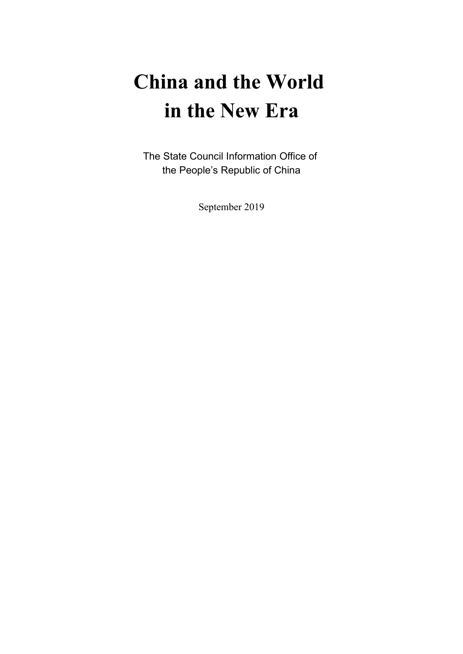# **China and the World in the New Era**

The State Council Information Office of the People's Republic of China

September 2019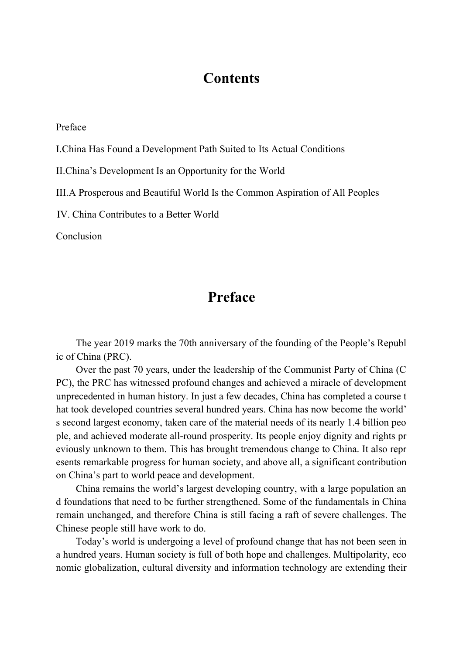## **Contents**

Preface

I.China Has Found a Development Path Suited to Its Actual Conditions

II.China's Development Is an Opportunity for the World

III.A Prosperous and Beautiful World Is the Common Aspiration of All Peoples

IV. China Contributes to a Better World

Conclusion

## **Preface**

The year 2019 marks the 70th anniversary of the founding of the People's Republ ic of China (PRC).

Over the past 70 years, under the leadership of the Communist Party of China (C PC), the PRC has witnessed profound changes and achieved a miracle of development unprecedented in human history. In just a few decades, China has completed a course t hat took developed countries several hundred years. China has now become the world' s second largest economy, taken care of the material needs of its nearly 1.4 billion peo ple, and achieved moderate all-round prosperity. Its people enjoy dignity and rights pr eviously unknown to them. This has brought tremendous change to China. It also repr esents remarkable progress for human society, and above all, a significant contribution on China's part to world peace and development.

China remains the world's largest developing country, with a large population an d foundations that need to be further strengthened. Some of the fundamentals in China remain unchanged, and therefore China is still facing a raft of severe challenges. The Chinese people still have work to do.

Today's world is undergoing a level of profound change that has not been seen in a hundred years. Human society is full of both hope and challenges. Multipolarity, eco nomic globalization, cultural diversity and information technology are extending their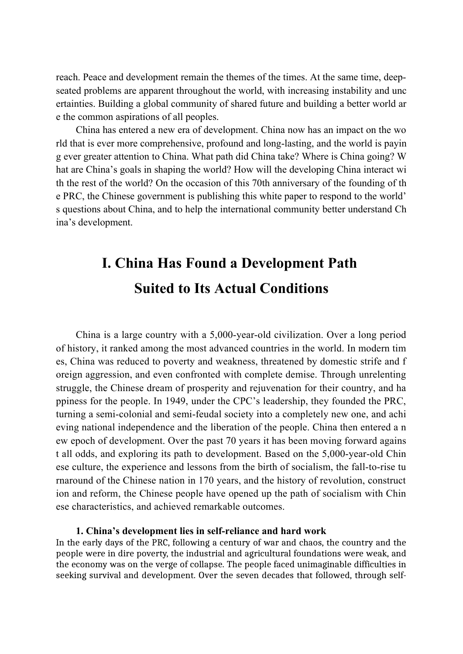reach. Peace and development remain the themes of the times. At the same time, deepseated problems are apparent throughout the world, with increasing instability and unc ertainties. Building a global community of shared future and building a better world ar e the common aspirations of all peoples.

China has entered a new era of development. China now has an impact on the wo rld that is ever more comprehensive, profound and long-lasting, and the world is payin g ever greater attention to China. What path did China take? Where is China going? W hat are China's goals in shaping the world? How will the developing China interact wi th the rest of the world? On the occasion of this 70th anniversary of the founding of th e PRC, the Chinese government is publishing this white paper to respond to the world' s questions about China, and to help the international community better understand Ch ina's development.

# **I. China Has Found a Development Path Suited to Its Actual Conditions**

China is a large country with a 5,000-year-old civilization. Over a long period of history, it ranked among the most advanced countries in the world. In modern tim es, China was reduced to poverty and weakness, threatened by domestic strife and f oreign aggression, and even confronted with complete demise. Through unrelenting struggle, the Chinese dream of prosperity and rejuvenation for their country, and ha ppiness for the people. In 1949, under the CPC's leadership, they founded the PRC, turning a semi-colonial and semi-feudal society into a completely new one, and achi eving national independence and the liberation of the people. China then entered a n ew epoch of development. Over the past 70 years it has been moving forward agains t all odds, and exploring its path to development. Based on the 5,000-year-old Chin ese culture, the experience and lessons from the birth of socialism, the fall-to-rise tu rnaround of the Chinese nation in 170 years, and the history of revolution, construct ion and reform, the Chinese people have opened up the path of socialism with Chin ese characteristics, and achieved remarkable outcomes.

## **1. China's development lies in self-reliance and hard work**

In the early days of the PRC, following a century of war and chaos, the country and the people were in dire poverty, the industrial and agricultural foundations were weak, and the economy was on the verge of collapse. The people faced unimaginable difficulties in seeking survival and development. Over the seven decades that followed, through self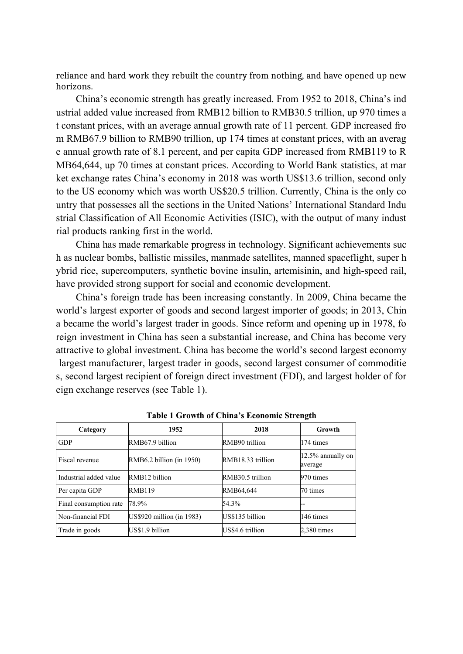reliance and hard work they rebuilt the country from nothing, and have opened up new horizons.

China's economic strength has greatly increased. From 1952 to 2018, China's ind ustrial added value increased from RMB12 billion to RMB30.5 trillion, up 970 times a t constant prices, with an average annual growth rate of 11 percent. GDP increased fro m RMB67.9 billion to RMB90 trillion, up 174 times at constant prices, with an averag e annual growth rate of 8.1 percent, and per capita GDP increased from RMB119 to R MB64,644, up 70 times at constant prices. According to World Bank statistics, at mar ket exchange rates China's economy in 2018 was worth US\$13.6 trillion, second only to the US economy which was worth US\$20.5 trillion. Currently, China is the only co untry that possesses all the sections in the United Nations' International Standard Indu strial Classification of All Economic Activities (ISIC), with the output of many indust rial products ranking first in the world.

China has made remarkable progress in technology. Significant achievements suc h as nuclear bombs, ballistic missiles, manmade satellites, manned spaceflight, super h ybrid rice, supercomputers, synthetic bovine insulin, artemisinin, and high-speed rail, have provided strong support for social and economic development.

China's foreign trade has been increasing constantly. In 2009, China became the world's largest exporter of goods and second largest importer of goods; in 2013, Chin a became the world's largest trader in goods. Since reform and opening up in 1978, fo reign investment in China has seen a substantial increase, and China has become very attractive to global investment. China has become the world's second largest economy largest manufacturer, largest trader in goods, second largest consumer of commoditie s, second largest recipient of foreign direct investment (FDI), and largest holder of for eign exchange reserves (see Table 1).

| Category               | 1952                      | 2018              | <b>Growth</b>                    |
|------------------------|---------------------------|-------------------|----------------------------------|
| <b>GDP</b>             | RMB67.9 billion           | RMB90 trillion    | 174 times                        |
| Fiscal revenue         | RMB6.2 billion (in 1950)  | RMB18.33 trillion | $ 12.5\%$ annually on<br>average |
| Industrial added value | RMB12 billion             | RMB30.5 trillion  | 970 times                        |
| Per capita GDP         | RMB119                    | RMB64.644         | 70 times                         |
| Final consumption rate | 78.9%                     | 54.3%             | --                               |
| Non-financial FDI      | US\$920 million (in 1983) | US\$135 billion   | 146 times                        |
| Trade in goods         | US\$1.9 billion           | US\$4.6 trillion  | $2,380$ times                    |

**Table 1 Growth of China's Economic Strength**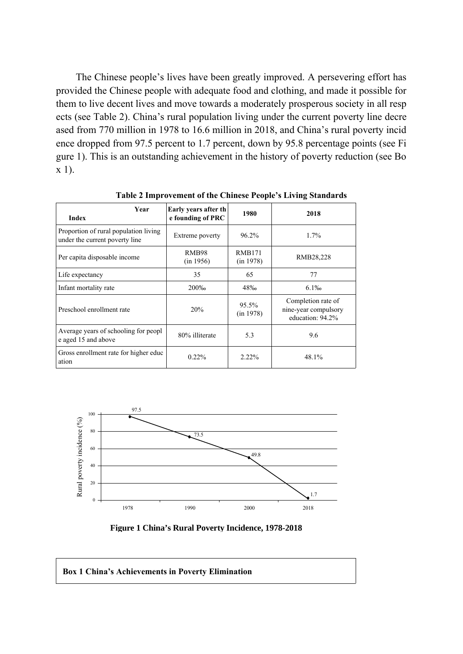The Chinese people's lives have been greatly improved. A persevering effort has provided the Chinese people with adequate food and clothing, and made it possible for them to live decent lives and move towards a moderately prosperous society in all resp ects (see Table 2). China's rural population living under the current poverty line decre ased from 770 million in 1978 to 16.6 million in 2018, and China's rural poverty incid ence dropped from 97.5 percent to 1.7 percent, down by 95.8 percentage points (see Fi gure 1). This is an outstanding achievement in the history of poverty reduction (see Bo x 1).

| Year<br><b>Index</b>                                                    | Early years after th<br>e founding of PRC | 1980                       | 2018                                                           |
|-------------------------------------------------------------------------|-------------------------------------------|----------------------------|----------------------------------------------------------------|
| Proportion of rural population living<br>under the current poverty line | Extreme poverty                           | $96.2\%$                   | $1.7\%$                                                        |
| Per capita disposable income                                            | <b>RMB98</b><br>(in 1956)                 | <b>RMB171</b><br>(in 1978) | RMB28,228                                                      |
| Life expectancy                                                         | 35                                        | 65                         | 77                                                             |
| Infant mortality rate                                                   | 200%                                      | 48‰                        | $6.1\%$                                                        |
| Preschool enrollment rate                                               | 20%                                       | $95.5\%$<br>(in 1978)      | Completion rate of<br>nine-year compulsory<br>education: 94.2% |
| Average years of schooling for peopl<br>e aged 15 and above             | 80% illiterate                            | 5.3                        | 9.6                                                            |
| Gross enrollment rate for higher educ<br>ation                          | $0.22\%$                                  | $2.22\%$                   | $48.1\%$                                                       |

**Table 2 Improvement of the Chinese People's Living Standards**



**Figure 1 China's Rural Poverty Incidence, 1978-2018**

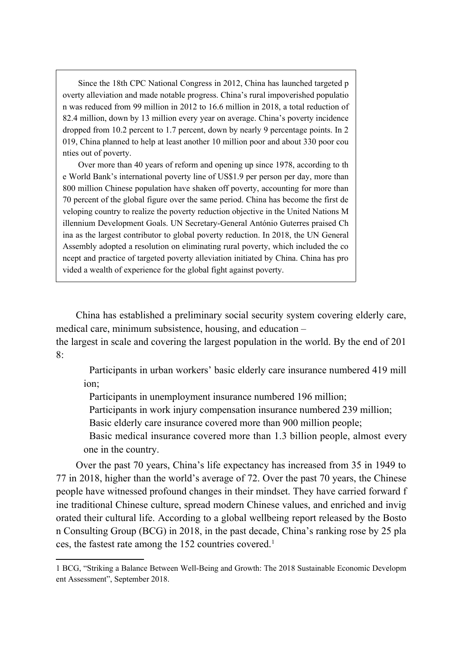Since the 18th CPC National Congress in 2012, China has launched targeted p overty alleviation and made notable progress. China's rural impoverished populatio n was reduced from 99 million in 2012 to 16.6 million in 2018, a total reduction of 82.4 million, down by 13 million every year on average. China's poverty incidence dropped from 10.2 percent to 1.7 percent, down by nearly 9 percentage points. In 2 019, China planned to help at least another 10 million poor and about 330 poor cou nties out of poverty.

Over more than 40 years of reform and opening up since 1978, according to th e World Bank's international poverty line of US\$1.9 per person per day, more than 800 million Chinese population have shaken off poverty, accounting for more than 70 percent of the global figure over the same period. China has become the first de veloping country to realize the poverty reduction objective in the United Nations M illennium Development Goals. UN Secretary-General António Guterres praised Ch ina as the largest contributor to global poverty reduction. In 2018, the UN General Assembly adopted a resolution on eliminating rural poverty, which included the co ncept and practice of targeted poverty alleviation initiated by China. China has pro vided a wealth of experience for the global fight against poverty.

China has established a preliminary social security system covering elderly care, medical care, minimum subsistence, housing, and education –

the largest in scale and covering the largest population in the world. By the end of 201 8:

Participants in urban workers' basic elderly care insurance numbered 419 mill ion;

Participants in unemployment insurance numbered 196 million;

Participants in work injury compensation insurance numbered 239 million;

Basic elderly care insurance covered more than 900 million people;

Basic medical insurance covered more than 1.3 billion people, almost every one in the country.

Over the past 70 years, China's life expectancy has increased from 35 in 1949 to 77 in 2018, higher than the world's average of 72. Over the past 70 years, the Chinese people have witnessed profound changes in their mindset. They have carried forward f ine traditional Chinese culture, spread modern Chinese values, and enriched and invig orated their cultural life. According to a global wellbeing report released by the Bosto n Consulting Group (BCG) in 2018, in the past decade, China's ranking rose by 25 pla ces, the fastest rate among the [1](#page-5-0)52 countries covered.<sup>1</sup>

<span id="page-5-0"></span><sup>1</sup> BCG, "Striking a Balance Between Well-Being and Growth: The 2018 Sustainable Economic Developm ent Assessment", September 2018.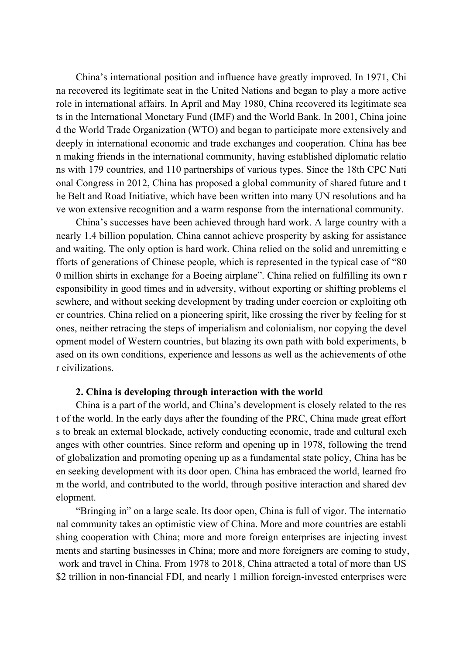China's international position and influence have greatly improved. In 1971, Chi na recovered its legitimate seat in the United Nations and began to play a more active role in international affairs. In April and May 1980, China recovered its legitimate sea ts in the International Monetary Fund (IMF) and the World Bank. In 2001, China joine d the World Trade Organization (WTO) and began to participate more extensively and deeply in international economic and trade exchanges and cooperation. China has bee n making friends in the international community, having established diplomatic relatio ns with 179 countries, and 110 partnerships of various types. Since the 18th CPC Nati onal Congress in 2012, China has proposed a global community of shared future and t he Belt and Road Initiative, which have been written into many UN resolutions and ha ve won extensive recognition and a warm response from the international community.

China's successes have been achieved through hard work. A large country with a nearly 1.4 billion population, China cannot achieve prosperity by asking for assistance and waiting. The only option is hard work. China relied on the solid and unremitting e fforts of generations of Chinese people, which is represented in the typical case of "80 0 million shirts in exchange for a Boeing airplane". China relied on fulfilling its own r esponsibility in good times and in adversity, without exporting or shifting problems el sewhere, and without seeking development by trading under coercion or exploiting oth er countries. China relied on a pioneering spirit, like crossing the river by feeling for st ones, neither retracing the steps of imperialism and colonialism, nor copying the devel opment model of Western countries, but blazing its own path with bold experiments, b ased on its own conditions, experience and lessons as well as the achievements of othe r civilizations.

## **2. China is developing through interaction with the world**

China is a part of the world, and China's development is closely related to the res t of the world. In the early days after the founding of the PRC, China made great effort s to break an external blockade, actively conducting economic, trade and cultural exch anges with other countries. Since reform and opening up in 1978, following the trend of globalization and promoting opening up as a fundamental state policy, China has be en seeking development with its door open. China has embraced the world, learned fro m the world, and contributed to the world, through positive interaction and shared dev elopment.

"Bringing in" on a large scale. Its door open, China is full of vigor. The internatio nal community takes an optimistic view of China. More and more countries are establi shing cooperation with China; more and more foreign enterprises are injecting invest ments and starting businesses in China; more and more foreigners are coming to study, work and travel in China. From 1978 to 2018, China attracted a total of more than US \$2 trillion in non-financial FDI, and nearly 1 million foreign-invested enterprises were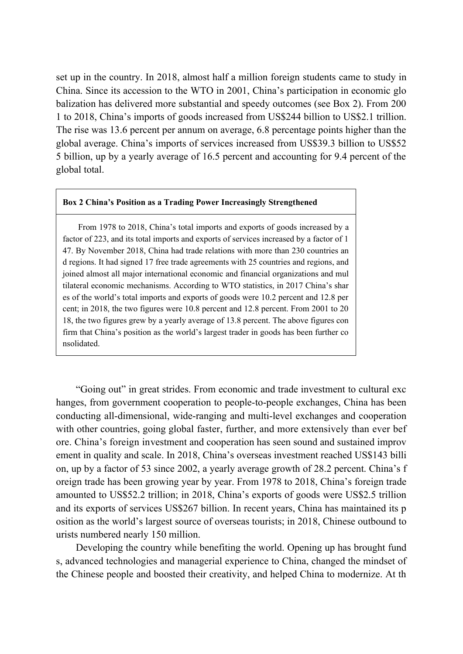set up in the country. In 2018, almost half a million foreign students came to study in China. Since its accession to the WTO in 2001, China's participation in economic glo balization has delivered more substantial and speedy outcomes (see Box 2). From 200 1 to 2018, China's imports of goods increased from US\$244 billion to US\$2.1 trillion. The rise was 13.6 percent per annum on average, 6.8 percentage points higher than the global average. China's imports of services increased from US\$39.3 billion to US\$52 5 billion, up by a yearly average of 16.5 percent and accounting for 9.4 percent of the global total.

## **Box 2 China's Position as a Trading Power Increasingly Strengthened**

From 1978 to 2018, China's total imports and exports of goods increased by a factor of 223, and its total imports and exports of services increased by a factor of 1 47. By November 2018, China had trade relations with more than 230 countries an d regions. It had signed 17 free trade agreements with 25 countries and regions, and joined almost all major international economic and financial organizations and mul tilateral economic mechanisms. According to WTO statistics, in 2017 China's shar es of the world's total imports and exports of goods were 10.2 percent and 12.8 per cent; in 2018, the two figures were 10.8 percent and 12.8 percent. From 2001 to 20 18, the two figures grew by a yearly average of 13.8 percent. The above figures con firm that China's position as the world's largest trader in goods has been further co nsolidated.

"Going out" in great strides. From economic and trade investment to cultural exc hanges, from government cooperation to people-to-people exchanges, China has been conducting all-dimensional, wide-ranging and multi-level exchanges and cooperation with other countries, going global faster, further, and more extensively than ever bef ore. China's foreign investment and cooperation has seen sound and sustained improv ement in quality and scale. In 2018, China's overseas investment reached US\$143 billi on, up by a factor of 53 since 2002, a yearly average growth of 28.2 percent. China's f oreign trade has been growing year by year. From 1978 to 2018, China's foreign trade amounted to US\$52.2 trillion; in 2018, China's exports of goods were US\$2.5 trillion and its exports of services US\$267 billion. In recent years, China has maintained its p osition as the world's largest source of overseas tourists; in 2018, Chinese outbound to urists numbered nearly 150 million.

Developing the country while benefiting the world. Opening up has brought fund s, advanced technologies and managerial experience to China, changed the mindset of the Chinese people and boosted their creativity, and helped China to modernize. At th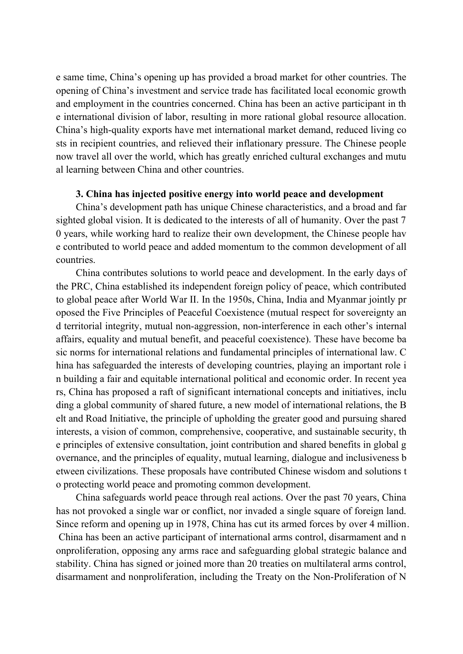e same time, China's opening up has provided a broad market for other countries. The opening of China's investment and service trade has facilitated local economic growth and employment in the countries concerned. China has been an active participant in th e international division of labor, resulting in more rational global resource allocation. China's high-quality exports have met international market demand, reduced living co sts in recipient countries, and relieved their inflationary pressure. The Chinese people now travel all over the world, which has greatly enriched cultural exchanges and mutu al learning between China and other countries.

## **3. China has injected positive energy into world peace and development**

China's development path has unique Chinese characteristics, and a broad and far sighted global vision. It is dedicated to the interests of all of humanity. Over the past 7 0 years, while working hard to realize their own development, the Chinese people hav e contributed to world peace and added momentum to the common development of all countries.

China contributes solutions to world peace and development. In the early days of the PRC, China established its independent foreign policy of peace, which contributed to global peace after World War II. In the 1950s, China, India and Myanmar jointly pr oposed the Five Principles of Peaceful Coexistence (mutual respect for sovereignty an d territorial integrity, mutual non-aggression, non-interference in each other's internal affairs, equality and mutual benefit, and peaceful coexistence). These have become ba sic norms for international relations and fundamental principles of international law. C hina has safeguarded the interests of developing countries, playing an important role i n building a fair and equitable international political and economic order. In recent yea rs, China has proposed a raft of significant international concepts and initiatives, inclu ding a global community of shared future, a new model of international relations, the B elt and Road Initiative, the principle of upholding the greater good and pursuing shared interests, a vision of common, comprehensive, cooperative, and sustainable security, th e principles of extensive consultation, joint contribution and shared benefits in global g overnance, and the principles of equality, mutual learning, dialogue and inclusiveness b etween civilizations. These proposals have contributed Chinese wisdom and solutions t o protecting world peace and promoting common development.

China safeguards world peace through real actions. Over the past 70 years, China has not provoked a single war or conflict, nor invaded a single square of foreign land. Since reform and opening up in 1978, China has cut its armed forces by over 4 million. China has been an active participant of international arms control, disarmament and n onproliferation, opposing any arms race and safeguarding global strategic balance and stability. China has signed or joined more than 20 treaties on multilateral arms control, disarmament and nonproliferation, including the Treaty on the Non-Proliferation of N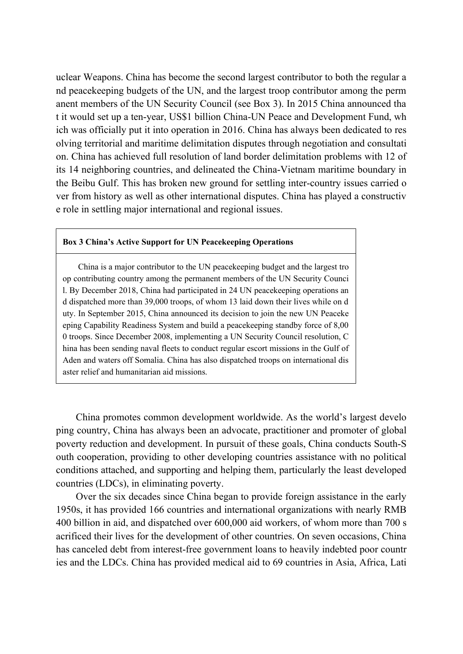uclear Weapons. China has become the second largest contributor to both the regular a nd peacekeeping budgets of the UN, and the largest troop contributor among the perm anent members of the UN Security Council (see Box 3). In 2015 China announced tha t it would set up a ten-year, US\$1 billion China-UN Peace and Development Fund, wh ich was officially put it into operation in 2016. China has always been dedicated to res olving territorial and maritime delimitation disputes through negotiation and consultati on. China has achieved full resolution of land border delimitation problems with 12 of its 14 neighboring countries, and delineated the China-Vietnam maritime boundary in the Beibu Gulf. This has broken new ground for settling inter-country issues carried o ver from history as well as other international disputes. China has played a constructiv e role in settling major international and regional issues.

## **Box 3 China's Active Support for UN Peacekeeping Operations**

China is a major contributor to the UN peacekeeping budget and the largest tro op contributing country among the permanent members of the UN Security Counci l. By December 2018, China had participated in 24 UN peacekeeping operations an d dispatched more than 39,000 troops, of whom 13 laid down their lives while on d uty. In September 2015, China announced its decision to join the new UN Peaceke eping Capability Readiness System and build a peacekeeping standby force of 8,00 0 troops. Since December 2008, implementing a UN Security Council resolution, C hina has been sending naval fleets to conduct regular escort missions in the Gulf of Aden and waters off Somalia. China has also dispatched troops on international dis aster relief and humanitarian aid missions.

China promotes common development worldwide. As the world's largest develo ping country, China has always been an advocate, practitioner and promoter of global poverty reduction and development. In pursuit of these goals, China conducts South-S outh cooperation, providing to other developing countries assistance with no political conditions attached, and supporting and helping them, particularly the least developed countries (LDCs), in eliminating poverty.

Over the six decades since China began to provide foreign assistance in the early 1950s, it has provided 166 countries and international organizations with nearly RMB 400 billion in aid, and dispatched over 600,000 aid workers, of whom more than 700 s acrificed their lives for the development of other countries. On seven occasions, China has canceled debt from interest-free government loans to heavily indebted poor countr ies and the LDCs. China has provided medical aid to 69 countries in Asia, Africa, Lati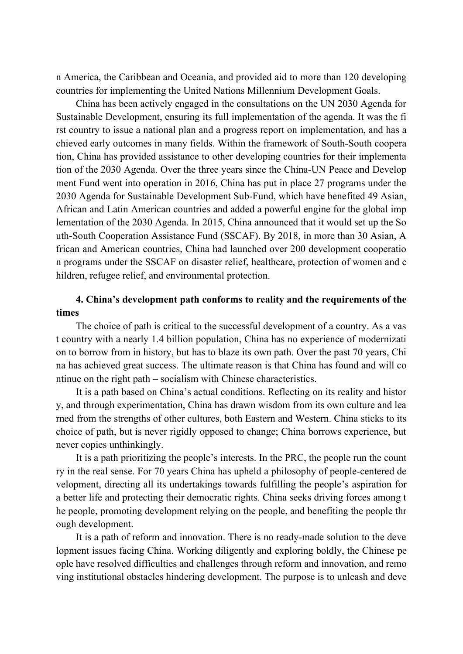n America, the Caribbean and Oceania, and provided aid to more than 120 developing countries for implementing the United Nations Millennium Development Goals.

China has been actively engaged in the consultations on the UN 2030 Agenda for Sustainable Development, ensuring its full implementation of the agenda. It was the fi rst country to issue a national plan and a progress report on implementation, and has a chieved early outcomes in many fields. Within the framework of South-South coopera tion, China has provided assistance to other developing countries for their implementa tion of the 2030 Agenda. Over the three years since the China-UN Peace and Develop ment Fund went into operation in 2016, China has put in place 27 programs under the 2030 Agenda for Sustainable Development Sub-Fund, which have benefited 49 Asian, African and Latin American countries and added a powerful engine for the global imp lementation of the 2030 Agenda. In 2015, China announced that it would set up the So uth-South Cooperation Assistance Fund (SSCAF). By 2018, in more than 30 Asian, A frican and American countries, China had launched over 200 development cooperatio n programs under the SSCAF on disaster relief, healthcare, protection of women and c hildren, refugee relief, and environmental protection.

## **4. China's development path conforms to reality and the requirements of the times**

The choice of path is critical to the successful development of a country. As a vas t country with a nearly 1.4 billion population, China has no experience of modernizati on to borrow from in history, but has to blaze its own path. Over the past 70 years, Chi na has achieved great success. The ultimate reason is that China has found and will co ntinue on the right path – socialism with Chinese characteristics.

It is a path based on China's actual conditions. Reflecting on its reality and histor y, and through experimentation, China has drawn wisdom from its own culture and lea rned from the strengths of other cultures, both Eastern and Western. China sticks to its choice of path, but is never rigidly opposed to change; China borrows experience, but never copies unthinkingly.

It is a path prioritizing the people's interests. In the PRC, the people run the count ry in the real sense. For 70 years China has upheld a philosophy of people-centered de velopment, directing all its undertakings towards fulfilling the people's aspiration for a better life and protecting their democratic rights. China seeks driving forces among t he people, promoting development relying on the people, and benefiting the people thr ough development.

It is a path of reform and innovation. There is no ready-made solution to the deve lopment issues facing China. Working diligently and exploring boldly, the Chinese pe ople have resolved difficulties and challenges through reform and innovation, and remo ving institutional obstacles hindering development. The purpose is to unleash and deve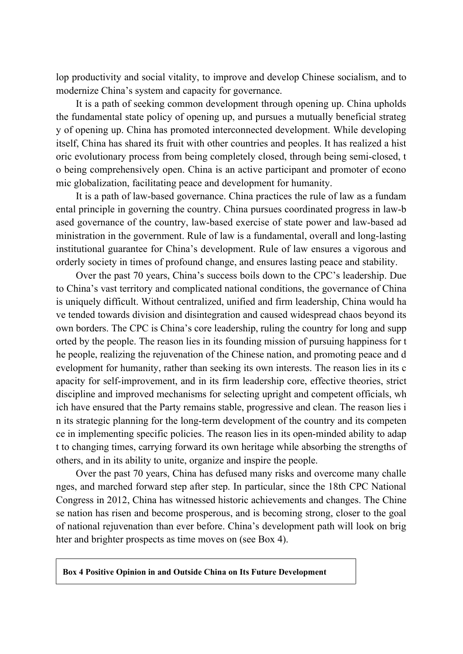lop productivity and social vitality, to improve and develop Chinese socialism, and to modernize China's system and capacity for governance.

It is a path of seeking common development through opening up. China upholds the fundamental state policy of opening up, and pursues a mutually beneficial strateg y of opening up. China has promoted interconnected development. While developing itself, China has shared its fruit with other countries and peoples. It has realized a hist oric evolutionary process from being completely closed, through being semi-closed, t o being comprehensively open. China is an active participant and promoter of econo mic globalization, facilitating peace and development for humanity.

It is a path of law-based governance. China practices the rule of law as a fundam ental principle in governing the country. China pursues coordinated progress in law-b ased governance of the country, law-based exercise of state power and law-based ad ministration in the government. Rule of law is a fundamental, overall and long-lasting institutional guarantee for China's development. Rule of law ensures a vigorous and orderly society in times of profound change, and ensures lasting peace and stability.

Over the past 70 years, China's success boils down to the CPC's leadership. Due to China's vast territory and complicated national conditions, the governance of China is uniquely difficult. Without centralized, unified and firm leadership, China would ha ve tended towards division and disintegration and caused widespread chaos beyond its own borders. The CPC is China's core leadership, ruling the country for long and supp orted by the people. The reason lies in its founding mission of pursuing happiness for t he people, realizing the rejuvenation of the Chinese nation, and promoting peace and d evelopment for humanity, rather than seeking its own interests. The reason lies in its c apacity for self-improvement, and in its firm leadership core, effective theories, strict discipline and improved mechanisms for selecting upright and competent officials, wh ich have ensured that the Party remains stable, progressive and clean. The reason lies i n its strategic planning for the long-term development of the country and its competen ce in implementing specific policies. The reason lies in its open-minded ability to adap t to changing times, carrying forward its own heritage while absorbing the strengths of others, and in its ability to unite, organize and inspire the people.

Over the past 70 years, China has defused many risks and overcome many challe nges, and marched forward step after step. In particular, since the 18th CPC National Congress in 2012, China has witnessed historic achievements and changes. The Chine se nation has risen and become prosperous, and is becoming strong, closer to the goal of national rejuvenation than ever before. China's development path will look on brig hter and brighter prospects as time moves on (see Box 4).

**Box 4 Positive Opinion in and Outside China on Its Future Development**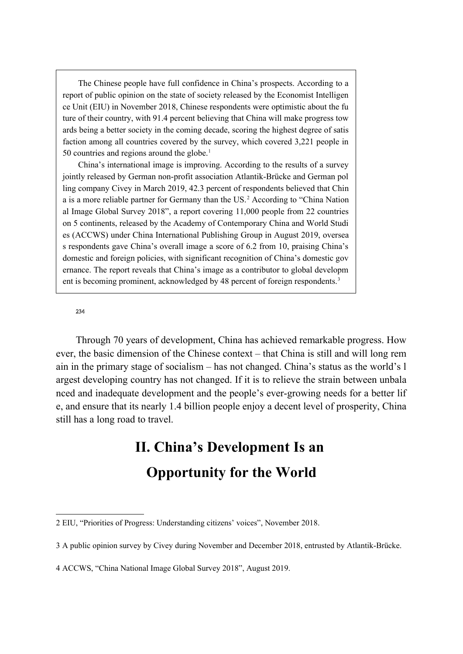The Chinese people have full confidence in China's prospects. According to a report of public opinion on the state of society released by the Economist Intelligen ce Unit (EIU) in November 2018, Chinese respondents were optimistic about the fu ture of their country, with 91.4 percent believing that China will make progress tow ards being a better society in the coming decade, scoring the highest degree of satis faction among all countries covered by the survey, which covered 3,221 people in 50 countries and regions around the globe.<sup>1</sup>

China's international image is improving. According to the results of a survey jointly released by German non-profit association Atlantik-Brücke and German pol ling company Civey in March 2019, 42.3 percent of respondents believed that Chin a is a more reliable partner for Germany than the US.<sup>2</sup> According to "China Nation al Image Global Survey 2018", a report covering 11,000 people from 22 countries on 5 continents, released by the Academy of Contemporary China and World Studi es (ACCWS) under China International Publishing Group in August 2019, oversea s respondents gave China's overall image a score of 6.2 from 10, praising China's domestic and foreign policies, with significant recognition of China's domestic gov ernance. The report reveals that China's image as a contributor to global developm ent is becoming prominent, acknowledged by 48 percent of foreign respondents.<sup>3</sup>

#### [2](#page-12-0)[3](#page-12-1)[4](#page-12-2)

Through 70 years of development, China has achieved remarkable progress. How ever, the basic dimension of the Chinese context – that China is still and will long rem ain in the primary stage of socialism – has not changed. China's status as the world's l argest developing country has not changed. If it is to relieve the strain between unbala nced and inadequate development and the people's ever-growing needs for a better lif e, and ensure that its nearly 1.4 billion people enjoy a decent level of prosperity, China still has a long road to travel.

## **II. China's Development Is an Opportunity for the World**

<span id="page-12-0"></span><sup>2</sup> EIU, "Priorities of Progress: Understanding citizens' voices", November 2018.

<span id="page-12-1"></span><sup>3</sup> A public opinion survey by Civey during November and December 2018, entrusted by Atlantik-Brücke.

<span id="page-12-2"></span><sup>4</sup> ACCWS, "China National Image Global Survey 2018", August 2019.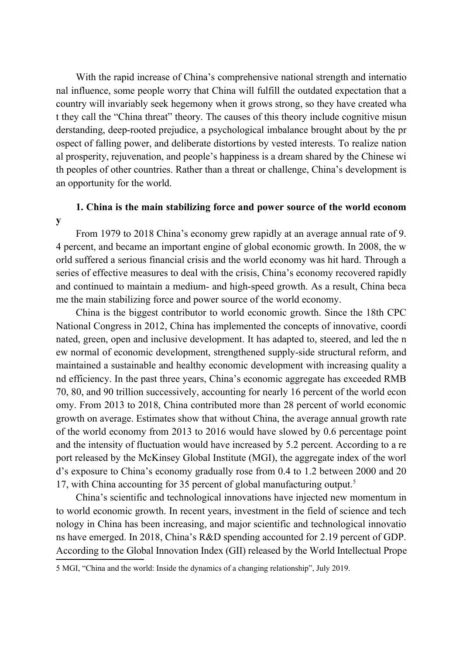With the rapid increase of China's comprehensive national strength and internatio nal influence, some people worry that China will fulfill the outdated expectation that a country will invariably seek hegemony when it grows strong, so they have created wha t they call the "China threat" theory. The causes of this theory include cognitive misun derstanding, deep-rooted prejudice, a psychological imbalance brought about by the pr ospect of falling power, and deliberate distortions by vested interests. To realize nation al prosperity, rejuvenation, and people's happiness is a dream shared by the Chinese wi th peoples of other countries. Rather than a threat or challenge, China's development is an opportunity for the world.

# **1. China is the main stabilizing force and power source of the world econom**

**y**

From 1979 to 2018 China's economy grew rapidly at an average annual rate of 9. 4 percent, and became an important engine of global economic growth. In 2008, the w orld suffered a serious financial crisis and the world economy was hit hard. Through a series of effective measures to deal with the crisis, China's economy recovered rapidly and continued to maintain a medium- and high-speed growth. As a result, China beca me the main stabilizing force and power source of the world economy.

China is the biggest contributor to world economic growth. Since the 18th CPC National Congress in 2012, China has implemented the concepts of innovative, coordi nated, green, open and inclusive development. It has adapted to, steered, and led the n ew normal of economic development, strengthened supply-side structural reform, and maintained a sustainable and healthy economic development with increasing quality a nd efficiency. In the past three years, China's economic aggregate has exceeded RMB 70, 80, and 90 trillion successively, accounting for nearly 16 percent of the world econ omy. From 2013 to 2018, China contributed more than 28 percent of world economic growth on average. Estimates show that without China, the average annual growth rate of the world economy from 2013 to 2016 would have slowed by 0.6 percentage point and the intensity of fluctuation would have increased by 5.2 percent. According to a re port released by the McKinsey Global Institute (MGI), the aggregate index of the worl d's exposure to China's economy gradually rose from 0.4 to 1.2 between 2000 and 20 17, with China accounting for 35 percent of global manufacturing output.[5](#page-13-0)

China's scientific and technological innovations have injected new momentum in to world economic growth. In recent years, investment in the field of science and tech nology in China has been increasing, and major scientific and technological innovatio ns have emerged. In 2018, China's R&D spending accounted for 2.19 percent of GDP. According to the Global Innovation Index (GII) released by the World Intellectual Prope

<span id="page-13-0"></span><sup>5</sup> MGI, "China and the world: Inside the dynamics of a changing relationship", July 2019.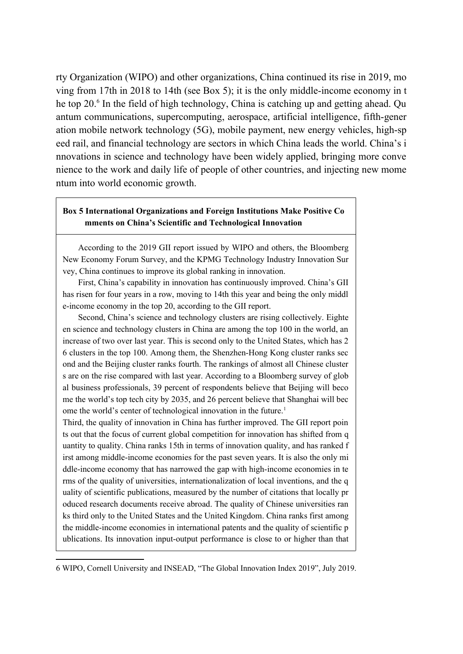rty Organization (WIPO) and other organizations, China continued its rise in 2019, mo ving from 17th in 2018 to 14th (see Box 5); it is the only middle-income economy in t he top 20.<sup>[6](#page-14-0)</sup> In the field of high technology, China is catching up and getting ahead. Qu antum communications, supercomputing, aerospace, artificial intelligence, fifth-gener ation mobile network technology (5G), mobile payment, new energy vehicles, high-sp eed rail, and financial technology are sectors in which China leads the world. China's i nnovations in science and technology have been widely applied, bringing more conve nience to the work and daily life of people of other countries, and injecting new mome ntum into world economic growth.

## **Box 5 International Organizations and Foreign Institutions Make Positive Co mments on China's Scientific and Technological Innovation**

According to the 2019 GII report issued by WIPO and others, the Bloomberg New Economy Forum Survey, and the KPMG Technology Industry Innovation Sur vey, China continues to improve its global ranking in innovation.

First, China's capability in innovation has continuously improved. China's GII has risen for four years in a row, moving to 14th this year and being the only middl e-income economy in the top 20, according to the GII report.

Second, China's science and technology clusters are rising collectively. Eighte en science and technology clusters in China are among the top 100 in the world, an increase of two over last year. This is second only to the United States, which has 2 6 clusters in the top 100. Among them, the Shenzhen-Hong Kong cluster ranks sec ond and the Beijing cluster ranks fourth. The rankings of almost all Chinese cluster s are on the rise compared with last year. According to a Bloomberg survey of glob al business professionals, 39 percent of respondents believe that Beijing will beco me the world's top tech city by 2035, and 26 percent believe that Shanghai will bec ome the world's center of technological innovation in the future.<sup>1</sup>

Third, the quality of innovation in China has further improved. The GII report poin ts out that the focus of current global competition for innovation has shifted from q uantity to quality. China ranks 15th in terms of innovation quality, and has ranked f irst among middle-income economies for the past seven years. It is also the only mi ddle-income economy that has narrowed the gap with high-income economies in te rms of the quality of universities, internationalization of local inventions, and the q uality of scientific publications, measured by the number of citations that locally pr oduced research documents receive abroad. The quality of Chinese universities ran ks third only to the United States and the United Kingdom. China ranks first among the middle-income economies in international patents and the quality of scientific p ublications. Its innovation input-output performance is close to or higher than that

<span id="page-14-0"></span><sup>6</sup> WIPO, Cornell University and INSEAD, "The Global Innovation Index 2019", July 2019.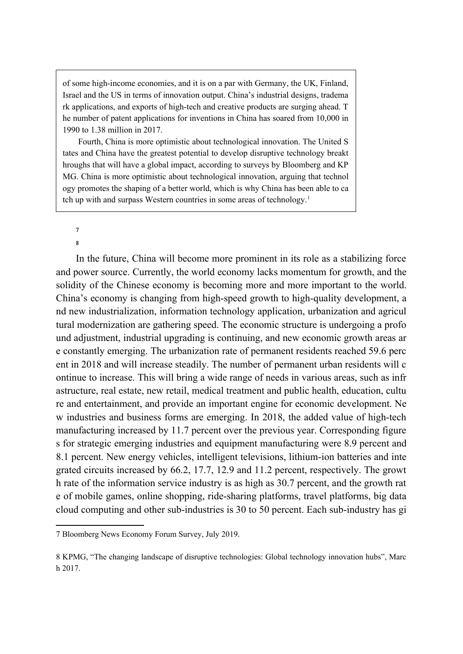of some high-income economies, and it is on a par with Germany, the UK, Finland, Israel and the US in terms of innovation output. China's industrial designs, tradema rk applications, and exports of high-tech and creative products are surging ahead. T he number of patent applications for inventions in China has soared from 10,000 in 1990 to 1.38 million in 2017.

Fourth, China is more optimistic about technological innovation. The United S tates and China have the greatest potential to develop disruptive technology breakt hroughs that will have a global impact, according to surveys by Bloomberg and KP MG. China is more optimistic about technological innovation, arguing that technol ogy promotes the shaping of a better world, which is why China has been able to ca tch up with and surpass Western countries in some areas of technology.<sup>1</sup>

[7](#page-15-0)

[8](#page-15-1)

In the future, China will become more prominent in its role as a stabilizing force and power source. Currently, the world economy lacks momentum for growth, and the solidity of the Chinese economy is becoming more and more important to the world. China's economy is changing from high-speed growth to high-quality development, a nd new industrialization, information technology application, urbanization and agricul tural modernization are gathering speed. The economic structure is undergoing a profo und adjustment, industrial upgrading is continuing, and new economic growth areas ar e constantly emerging. The urbanization rate of permanent residents reached 59.6 perc ent in 2018 and will increase steadily. The number of permanent urban residents will c ontinue to increase. This will bring a wide range of needs in various areas, such as infr astructure, real estate, new retail, medical treatment and public health, education, cultu re and entertainment, and provide an important engine for economic development. Ne w industries and business forms are emerging. In 2018, the added value of high-tech manufacturing increased by 11.7 percent over the previous year. Corresponding figure s for strategic emerging industries and equipment manufacturing were 8.9 percent and 8.1 percent. New energy vehicles, intelligent televisions, lithium-ion batteries and inte grated circuits increased by 66.2, 17.7, 12.9 and 11.2 percent, respectively. The growt h rate of the information service industry is as high as 30.7 percent, and the growth rat e of mobile games, online shopping, ride-sharing platforms, travel platforms, big data cloud computing and other sub-industries is 30 to 50 percent. Each sub-industry has gi

<span id="page-15-0"></span><sup>7</sup> Bloomberg News Economy Forum Survey, July 2019.

<span id="page-15-1"></span><sup>8</sup> KPMG, "The changing landscape of disruptive technologies: Global technology innovation hubs", Marc h 2017.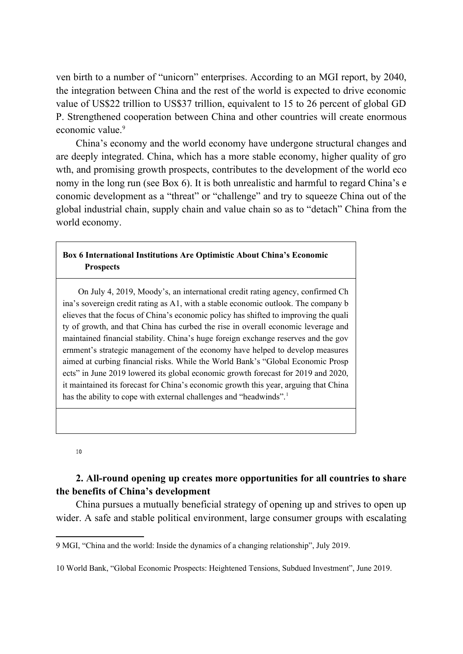ven birth to a number of "unicorn" enterprises. According to an MGI report, by 2040, the integration between China and the rest of the world is expected to drive economic value of US\$22 trillion to US\$37 trillion, equivalent to 15 to 26 percent of global GD P. Strengthened cooperation between China and other countries will create enormous economic value.<sup>[9](#page-16-0)</sup>

China's economy and the world economy have undergone structural changes and are deeply integrated. China, which has a more stable economy, higher quality of gro wth, and promising growth prospects, contributes to the development of the world eco nomy in the long run (see Box 6). It is both unrealistic and harmful to regard China's e conomic development as a "threat" or "challenge" and try to squeeze China out of the global industrial chain, supply chain and value chain so as to "detach" China from the world economy.

## **Box 6 International Institutions Are Optimistic About China's Economic Prospects**

On July 4, 2019, Moody's, an international credit rating agency, confirmed Ch ina's sovereign credit rating as A1, with a stable economic outlook. The company b elieves that the focus of China's economic policy has shifted to improving the quali ty of growth, and that China has curbed the rise in overall economic leverage and maintained financial stability. China's huge foreign exchange reserves and the gov ernment's strategic management of the economy have helped to develop measures aimed at curbing financial risks. While the World Bank's "Global Economic Prosp ects" in June 2019 lowered its global economic growth forecast for 2019 and 2020, it maintained its forecast for China's economic growth this year, arguing that China has the ability to cope with external challenges and "headwinds".<sup>1</sup>

#### [10](#page-16-1)

## **2. All-round opening up creates more opportunities for all countries to share the benefits of China's development**

China pursues a mutually beneficial strategy of opening up and strives to open up wider. A safe and stable political environment, large consumer groups with escalating

<span id="page-16-0"></span><sup>9</sup> MGI, "China and the world: Inside the dynamics of a changing relationship", July 2019.

<span id="page-16-1"></span><sup>10</sup> World Bank, "Global Economic Prospects: Heightened Tensions, Subdued Investment", June 2019.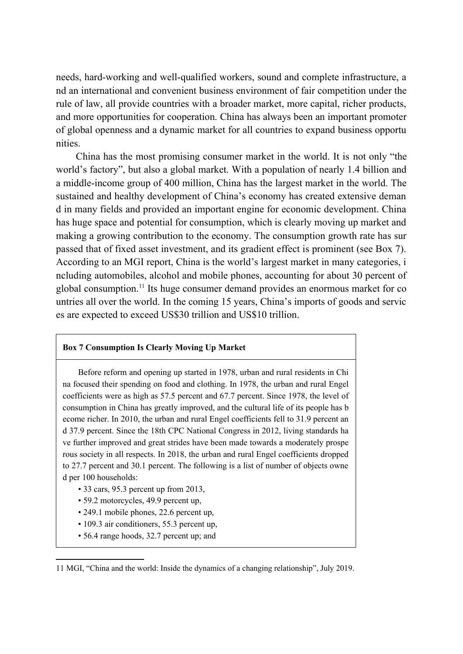needs, hard-working and well-qualified workers, sound and complete infrastructure, a nd an international and convenient business environment of fair competition under the rule of law, all provide countries with a broader market, more capital, richer products, and more opportunities for cooperation. China has always been an important promoter of global openness and a dynamic market for all countries to expand business opportu nities.

China has the most promising consumer market in the world. It is not only "the world's factory", but also a global market. With a population of nearly 1.4 billion and a middle-income group of 400 million, China has the largest market in the world. The sustained and healthy development of China's economy has created extensive deman d in many fields and provided an important engine for economic development. China has huge space and potential for consumption, which is clearly moving up market and making a growing contribution to the economy. The consumption growth rate has sur passed that of fixed asset investment, and its gradient effect is prominent (see Box 7). According to an MGI report, China is the world's largest market in many categories, i ncluding automobiles, alcohol and mobile phones, accounting for about 30 percent of global consumption.[11](#page-17-0) Its huge consumer demand provides an enormous market for co untries all over the world. In the coming 15 years, China's imports of goods and servic es are expected to exceed US\$30 trillion and US\$10 trillion.

## **Box 7 Consumption Is Clearly Moving Up Market**

Before reform and opening up started in 1978, urban and rural residents in Chi na focused their spending on food and clothing. In 1978, the urban and rural Engel coefficients were as high as 57.5 percent and 67.7 percent. Since 1978, the level of consumption in China has greatly improved, and the cultural life of its people has b ecome richer. In 2010, the urban and rural Engel coefficients fell to 31.9 percent an d 37.9 percent. Since the 18th CPC National Congress in 2012, living standards ha ve further improved and great strides have been made towards a moderately prospe rous society in all respects. In 2018, the urban and rural Engel coefficients dropped to 27.7 percent and 30.1 percent. The following is a list of number of objects owne d per 100 households:

- 33 cars, 95.3 percent up from 2013,
- 59.2 motorcycles, 49.9 percent up,
- 249.1 mobile phones, 22.6 percent up,
- 109.3 air conditioners, 55.3 percent up,
- 56.4 range hoods, 32.7 percent up; and

<span id="page-17-0"></span><sup>11</sup> MGI, "China and the world: Inside the dynamics of a changing relationship", July 2019.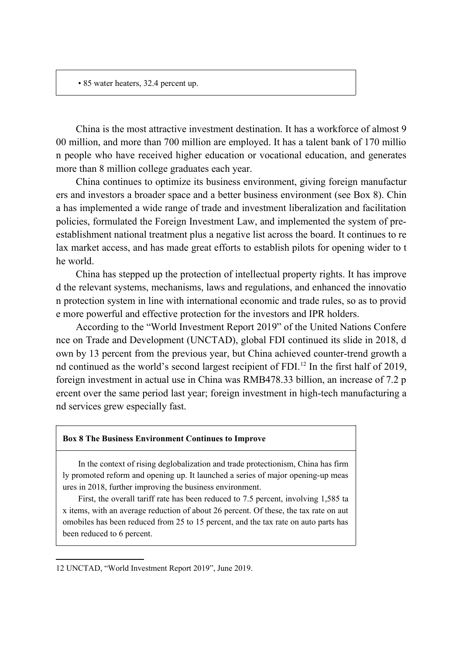• 85 water heaters, 32.4 percent up.

China is the most attractive investment destination. It has a workforce of almost 9 00 million, and more than 700 million are employed. It has a talent bank of 170 millio n people who have received higher education or vocational education, and generates more than 8 million college graduates each year.

China continues to optimize its business environment, giving foreign manufactur ers and investors a broader space and a better business environment (see Box 8). Chin a has implemented a wide range of trade and investment liberalization and facilitation policies, formulated the Foreign Investment Law, and implemented the system of preestablishment national treatment plus a negative list across the board. It continues to re lax market access, and has made great efforts to establish pilots for opening wider to t he world.

China has stepped up the protection of intellectual property rights. It has improve d the relevant systems, mechanisms, laws and regulations, and enhanced the innovatio n protection system in line with international economic and trade rules, so as to provid e more powerful and effective protection for the investors and IPR holders.

According to the "World Investment Report 2019" of the United Nations Confere nce on Trade and Development (UNCTAD), global FDI continued its slide in 2018, d own by 13 percent from the previous year, but China achieved counter-trend growth a nd continued as the world's second largest recipient of FDI.<sup>[12](#page-18-0)</sup> In the first half of 2019, foreign investment in actual use in China was RMB478.33 billion, an increase of 7.2 p ercent over the same period last year; foreign investment in high-tech manufacturing a nd services grew especially fast.

### **Box 8 The Business Environment Continues to Improve**

In the context of rising deglobalization and trade protectionism, China has firm ly promoted reform and opening up. It launched a series of major opening-up meas ures in 2018, further improving the business environment.

First, the overall tariff rate has been reduced to 7.5 percent, involving 1,585 ta x items, with an average reduction of about 26 percent. Of these, the tax rate on aut omobiles has been reduced from 25 to 15 percent, and the tax rate on auto parts has been reduced to 6 percent.

<span id="page-18-0"></span><sup>12</sup> UNCTAD, "World Investment Report 2019", June 2019.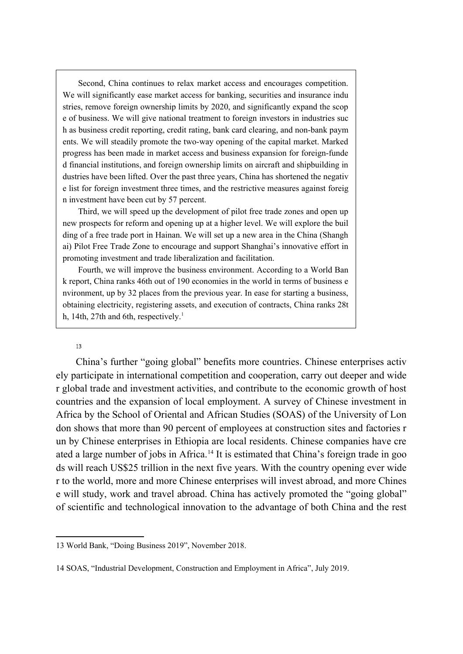Second, China continues to relax market access and encourages competition. We will significantly ease market access for banking, securities and insurance indu stries, remove foreign ownership limits by 2020, and significantly expand the scop e of business. We will give national treatment to foreign investors in industries suc h as business credit reporting, credit rating, bank card clearing, and non-bank paym ents. We will steadily promote the two-way opening of the capital market. Marked progress has been made in market access and business expansion for foreign-funde d financial institutions, and foreign ownership limits on aircraft and shipbuilding in dustries have been lifted. Over the past three years, China has shortened the negativ e list for foreign investment three times, and the restrictive measures against foreig n investment have been cut by 57 percent.

Third, we will speed up the development of pilot free trade zones and open up new prospects for reform and opening up at a higher level. We will explore the buil ding of a free trade port in Hainan. We will set up a new area in the China (Shangh ai) Pilot Free Trade Zone to encourage and support Shanghai's innovative effort in promoting investment and trade liberalization and facilitation.

Fourth, we will improve the business environment. According to a World Ban k report, China ranks 46th out of 190 economies in the world in terms of business e nvironment, up by 32 places from the previous year. In ease for starting a business, obtaining electricity, registering assets, and execution of contracts, China ranks 28t h, 14th, 27th and 6th, respectively.<sup>1</sup>

## [13](#page-19-0)

China's further "going global" benefits more countries. Chinese enterprises activ ely participate in international competition and cooperation, carry out deeper and wide r global trade and investment activities, and contribute to the economic growth of host countries and the expansion of local employment. A survey of Chinese investment in Africa by the School of Oriental and African Studies (SOAS) of the University of Lon don shows that more than 90 percent of employees at construction sites and factories r un by Chinese enterprises in Ethiopia are local residents. Chinese companies have cre ated a large number of jobs in Africa.<sup>[14](#page-19-1)</sup> It is estimated that China's foreign trade in goo ds will reach US\$25 trillion in the next five years. With the country opening ever wide r to the world, more and more Chinese enterprises will invest abroad, and more Chines e will study, work and travel abroad. China has actively promoted the "going global" of scientific and technological innovation to the advantage of both China and the rest

<span id="page-19-0"></span><sup>13</sup> World Bank, "Doing Business 2019", November 2018.

<span id="page-19-1"></span><sup>14</sup> SOAS, "Industrial Development, Construction and Employment in Africa", July 2019.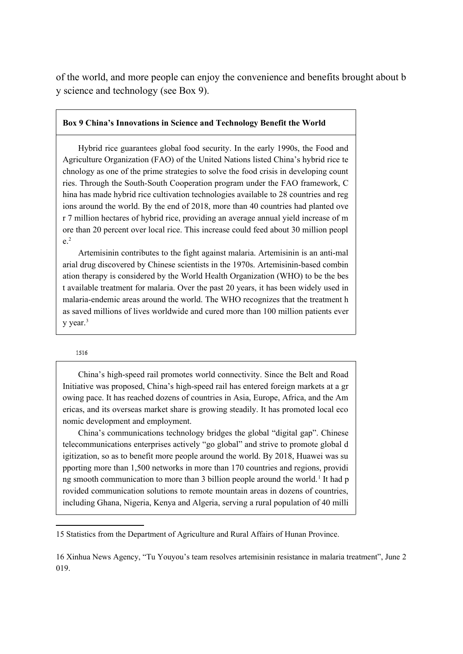of the world, and more people can enjoy the convenience and benefits brought about b y science and technology (see Box 9).

## **Box 9 China's Innovations in Science and Technology Benefit the World**

Hybrid rice guarantees global food security. In the early 1990s, the Food and Agriculture Organization (FAO) of the United Nations listed China's hybrid rice te chnology as one of the prime strategies to solve the food crisis in developing count ries. Through the South-South Cooperation program under the FAO framework, C hina has made hybrid rice cultivation technologies available to 28 countries and reg ions around the world. By the end of 2018, more than 40 countries had planted ove r 7 million hectares of hybrid rice, providing an average annual yield increase of m ore than 20 percent over local rice. This increase could feed about 30 million peopl  $e^2$ 

Artemisinin contributes to the fight against malaria. Artemisinin is an anti-mal arial drug discovered by Chinese scientists in the 1970s. Artemisinin-based combin ation therapy is considered by the World Health Organization (WHO) to be the bes t available treatment for malaria. Over the past 20 years, it has been widely used in malaria-endemic areas around the world. The WHO recognizes that the treatment h as saved millions of lives worldwide and cured more than 100 million patients ever  $v$  year.<sup>3</sup>

#### [15](#page-20-0)[16](#page-20-1)

China's high-speed rail promotes world connectivity. Since the Belt and Road Initiative was proposed, China's high-speed rail has entered foreign markets at a gr owing pace. It has reached dozens of countries in Asia, Europe, Africa, and the Am ericas, and its overseas market share is growing steadily. It has promoted local eco nomic development and employment.

China's communications technology bridges the global "digital gap". Chinese telecommunications enterprises actively "go global" and strive to promote global d igitization, so as to benefit more people around the world. By 2018, Huawei was su pporting more than 1,500 networks in more than 170 countries and regions, providi ng smooth communication to more than 3 billion people around the world.<sup>1</sup> It had p rovided communication solutions to remote mountain areas in dozens of countries, including Ghana, Nigeria, Kenya and Algeria, serving a rural population of 40 milli

<span id="page-20-0"></span><sup>15</sup> Statistics from the Department of Agriculture and Rural Affairs of Hunan Province.

<span id="page-20-1"></span><sup>16</sup> Xinhua News Agency, "Tu Youyou's team resolves artemisinin resistance in malaria treatment", June 2 019.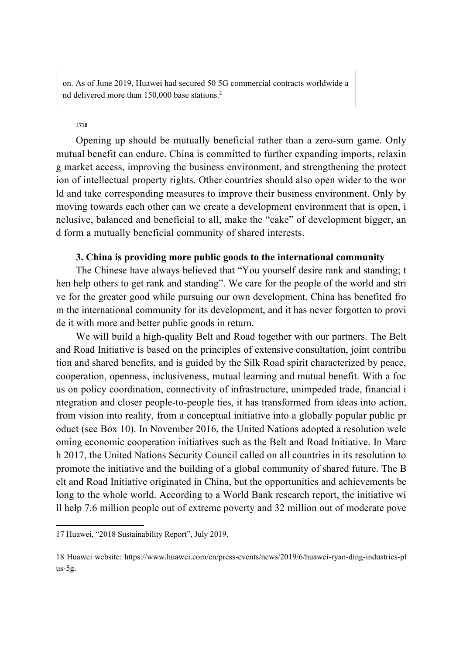on. As of June 2019, Huawei had secured 50 5G commercial contracts worldwide a nd delivered more than 150,000 base stations.<sup>2</sup>

## [17](#page-21-0)[18](#page-21-1)

Opening up should be mutually beneficial rather than a zero-sum game. Only mutual benefit can endure. China is committed to further expanding imports, relaxin g market access, improving the business environment, and strengthening the protect ion of intellectual property rights. Other countries should also open wider to the wor ld and take corresponding measures to improve their business environment. Only by moving towards each other can we create a development environment that is open, i nclusive, balanced and beneficial to all, make the "cake" of development bigger, an d form a mutually beneficial community of shared interests.

## **3. China is providing more public goods to the international community**

The Chinese have always believed that "You yourself desire rank and standing; t hen help others to get rank and standing". We care for the people of the world and stri ve for the greater good while pursuing our own development. China has benefited fro m the international community for its development, and it has never forgotten to provi de it with more and better public goods in return.

We will build a high-quality Belt and Road together with our partners. The Belt and Road Initiative is based on the principles of extensive consultation, joint contribu tion and shared benefits, and is guided by the Silk Road spirit characterized by peace, cooperation, openness, inclusiveness, mutual learning and mutual benefit. With a foc us on policy coordination, connectivity of infrastructure, unimpeded trade, financial i ntegration and closer people-to-people ties, it has transformed from ideas into action, from vision into reality, from a conceptual initiative into a globally popular public pr oduct (see Box 10). In November 2016, the United Nations adopted a resolution welc oming economic cooperation initiatives such as the Belt and Road Initiative. In Marc h 2017, the United Nations Security Council called on all countries in its resolution to promote the initiative and the building of a global community of shared future. The B elt and Road Initiative originated in China, but the opportunities and achievements be long to the whole world. According to a World Bank research report, the initiative wi ll help 7.6 million people out of extreme poverty and 32 million out of moderate pove

<span id="page-21-0"></span><sup>17</sup> Huawei, "2018 Sustainability Report", July 2019.

<span id="page-21-1"></span><sup>18</sup> Huawei website: https://www.huawei.com/cn/press-events/news/2019/6/huawei-ryan-ding-industries-pl us-5g.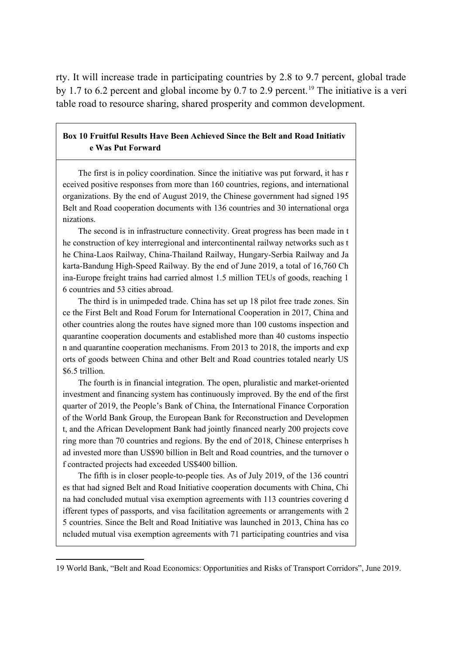rty. It will increase trade in participating countries by 2.8 to 9.7 percent, global trade by 1.7 to 6.2 percent and global income by 0.7 to 2.9 percent.<sup>[19](#page-22-0)</sup> The initiative is a veri table road to resource sharing, shared prosperity and common development.

## **Box 10 Fruitful Results Have Been Achieved Since the Belt and Road Initiativ e Was Put Forward**

The first is in policy coordination. Since the initiative was put forward, it has r eceived positive responses from more than 160 countries, regions, and international organizations. By the end of August 2019, the Chinese government had signed 195 Belt and Road cooperation documents with 136 countries and 30 international orga nizations.

The second is in infrastructure connectivity. Great progress has been made in t he construction of key interregional and intercontinental railway networks such as t he China-Laos Railway, China-Thailand Railway, Hungary-Serbia Railway and Ja karta-Bandung High-Speed Railway. By the end of June 2019, a total of 16,760 Ch ina-Europe freight trains had carried almost 1.5 million TEUs of goods, reaching 1 6 countries and 53 cities abroad.

The third is in unimpeded trade. China has set up 18 pilot free trade zones. Sin ce the First Belt and Road Forum for International Cooperation in 2017, China and other countries along the routes have signed more than 100 customs inspection and quarantine cooperation documents and established more than 40 customs inspectio n and quarantine cooperation mechanisms. From 2013 to 2018, the imports and exp orts of goods between China and other Belt and Road countries totaled nearly US \$6.5 trillion.

The fourth is in financial integration. The open, pluralistic and market-oriented investment and financing system has continuously improved. By the end of the first quarter of 2019, the People's Bank of China, the International Finance Corporation of the World Bank Group, the European Bank for Reconstruction and Developmen t, and the African Development Bank had jointly financed nearly 200 projects cove ring more than 70 countries and regions. By the end of 2018, Chinese enterprises h ad invested more than US\$90 billion in Belt and Road countries, and the turnover o f contracted projects had exceeded US\$400 billion.

The fifth is in closer people-to-people ties. As of July 2019, of the 136 countri es that had signed Belt and Road Initiative cooperation documents with China, Chi na had concluded mutual visa exemption agreements with 113 countries covering d ifferent types of passports, and visa facilitation agreements or arrangements with 2 5 countries. Since the Belt and Road Initiative was launched in 2013, China has co ncluded mutual visa exemption agreements with 71 participating countries and visa

<span id="page-22-0"></span><sup>19</sup> World Bank, "Belt and Road Economics: Opportunities and Risks of Transport Corridors", June 2019.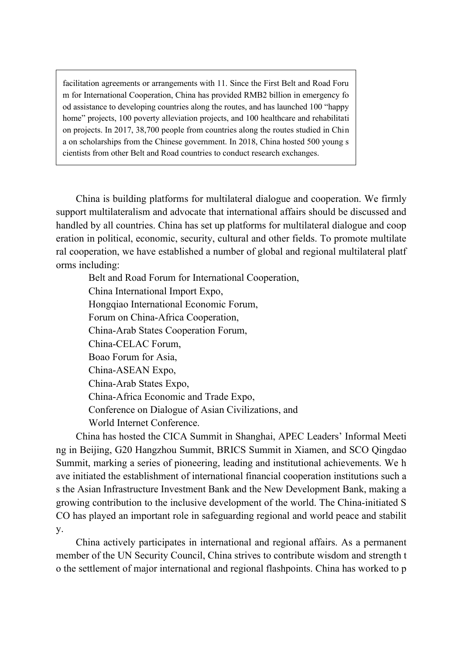facilitation agreements or arrangements with 11. Since the First Belt and Road Foru m for International Cooperation, China has provided RMB2 billion in emergency fo od assistance to developing countries along the routes, and has launched 100 "happy home" projects, 100 poverty alleviation projects, and 100 healthcare and rehabilitati on projects. In 2017, 38,700 people from countries along the routes studied in Chin a on scholarships from the Chinese government. In 2018, China hosted 500 young s cientists from other Belt and Road countries to conduct research exchanges.

China is building platforms for multilateral dialogue and cooperation. We firmly support multilateralism and advocate that international affairs should be discussed and handled by all countries. China has set up platforms for multilateral dialogue and coop eration in political, economic, security, cultural and other fields. To promote multilate ral cooperation, we have established a number of global and regional multilateral platf orms including:

Belt and Road Forum for International Cooperation, China International Import Expo, Hongqiao International Economic Forum, Forum on China-Africa Cooperation, China-Arab States Cooperation Forum, China-CELAC Forum, Boao Forum for Asia, China-ASEAN Expo, China-Arab States Expo, China-Africa Economic and Trade Expo, Conference on Dialogue of Asian Civilizations, and World Internet Conference.

China has hosted the CICA Summit in Shanghai, APEC Leaders' Informal Meeti ng in Beijing, G20 Hangzhou Summit, BRICS Summit in Xiamen, and SCO Qingdao Summit, marking a series of pioneering, leading and institutional achievements. We h ave initiated the establishment of international financial cooperation institutions such a s the Asian Infrastructure Investment Bank and the New Development Bank, making a growing contribution to the inclusive development of the world. The China-initiated S CO has played an important role in safeguarding regional and world peace and stabilit y.

China actively participates in international and regional affairs. As a permanent member of the UN Security Council, China strives to contribute wisdom and strength t o the settlement of major international and regional flashpoints. China has worked to p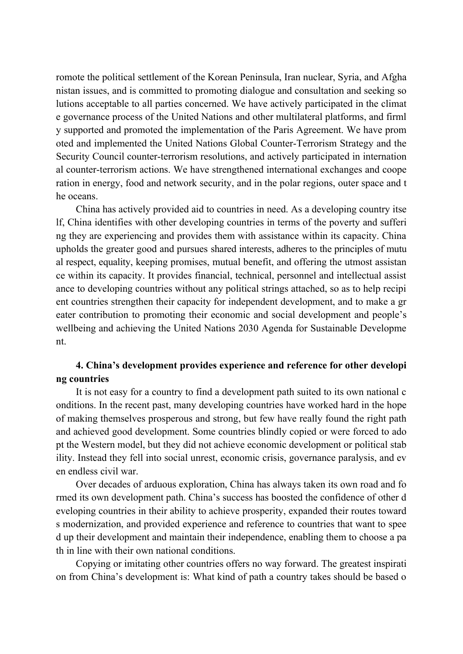romote the political settlement of the Korean Peninsula, Iran nuclear, Syria, and Afgha nistan issues, and is committed to promoting dialogue and consultation and seeking so lutions acceptable to all parties concerned. We have actively participated in the climat e governance process of the United Nations and other multilateral platforms, and firml y supported and promoted the implementation of the Paris Agreement. We have prom oted and implemented the United Nations Global Counter-Terrorism Strategy and the Security Council counter-terrorism resolutions, and actively participated in internation al counter-terrorism actions. We have strengthened international exchanges and coope ration in energy, food and network security, and in the polar regions, outer space and t he oceans.

China has actively provided aid to countries in need. As a developing country itse lf, China identifies with other developing countries in terms of the poverty and sufferi ng they are experiencing and provides them with assistance within its capacity. China upholds the greater good and pursues shared interests, adheres to the principles of mutu al respect, equality, keeping promises, mutual benefit, and offering the utmost assistan ce within its capacity. It provides financial, technical, personnel and intellectual assist ance to developing countries without any political strings attached, so as to help recipi ent countries strengthen their capacity for independent development, and to make a gr eater contribution to promoting their economic and social development and people's wellbeing and achieving the United Nations 2030 Agenda for Sustainable Developme nt.

## **4. China's development provides experience and reference for other developi ng countries**

It is not easy for a country to find a development path suited to its own national c onditions. In the recent past, many developing countries have worked hard in the hope of making themselves prosperous and strong, but few have really found the right path and achieved good development. Some countries blindly copied or were forced to ado pt the Western model, but they did not achieve economic development or political stab ility. Instead they fell into social unrest, economic crisis, governance paralysis, and ev en endless civil war.

Over decades of arduous exploration, China has always taken its own road and fo rmed its own development path. China's success has boosted the confidence of other d eveloping countries in their ability to achieve prosperity, expanded their routes toward s modernization, and provided experience and reference to countries that want to spee d up their development and maintain their independence, enabling them to choose a pa th in line with their own national conditions.

Copying or imitating other countries offers no way forward. The greatest inspirati on from China's development is: What kind of path a country takes should be based o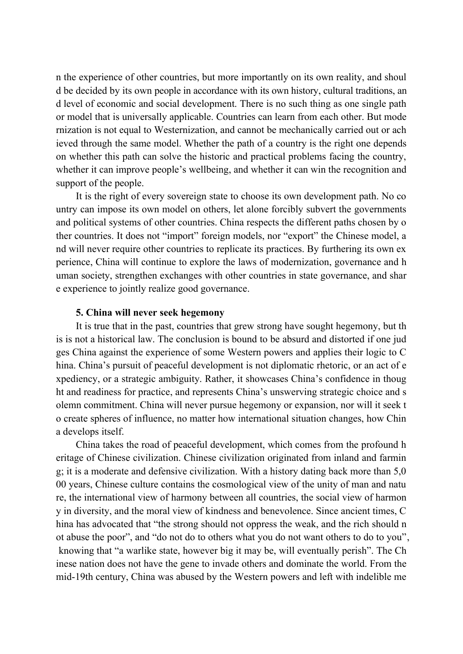n the experience of other countries, but more importantly on its own reality, and shoul d be decided by its own people in accordance with its own history, cultural traditions, an d level of economic and social development. There is no such thing as one single path or model that is universally applicable. Countries can learn from each other. But mode rnization is not equal to Westernization, and cannot be mechanically carried out or ach ieved through the same model. Whether the path of a country is the right one depends on whether this path can solve the historic and practical problems facing the country, whether it can improve people's wellbeing, and whether it can win the recognition and support of the people.

It is the right of every sovereign state to choose its own development path. No co untry can impose its own model on others, let alone forcibly subvert the governments and political systems of other countries. China respects the different paths chosen by o ther countries. It does not "import" foreign models, nor "export" the Chinese model, a nd will never require other countries to replicate its practices. By furthering its own ex perience, China will continue to explore the laws of modernization, governance and h uman society, strengthen exchanges with other countries in state governance, and shar e experience to jointly realize good governance.

## **5. China will never seek hegemony**

It is true that in the past, countries that grew strong have sought hegemony, but th is is not a historical law. The conclusion is bound to be absurd and distorted if one jud ges China against the experience of some Western powers and applies their logic to C hina. China's pursuit of peaceful development is not diplomatic rhetoric, or an act of e xpediency, or a strategic ambiguity. Rather, it showcases China's confidence in thoug ht and readiness for practice, and represents China's unswerving strategic choice and s olemn commitment. China will never pursue hegemony or expansion, nor will it seek t o create spheres of influence, no matter how international situation changes, how Chin a develops itself.

China takes the road of peaceful development, which comes from the profound h eritage of Chinese civilization. Chinese civilization originated from inland and farmin g; it is a moderate and defensive civilization. With a history dating back more than 5,0 00 years, Chinese culture contains the cosmological view of the unity of man and natu re, the international view of harmony between all countries, the social view of harmon y in diversity, and the moral view of kindness and benevolence. Since ancient times, C hina has advocated that "the strong should not oppress the weak, and the rich should n ot abuse the poor", and "do not do to others what you do not want others to do to you", knowing that "a warlike state, however big it may be, will eventually perish". The Ch inese nation does not have the gene to invade others and dominate the world. From the mid-19th century, China was abused by the Western powers and left with indelible me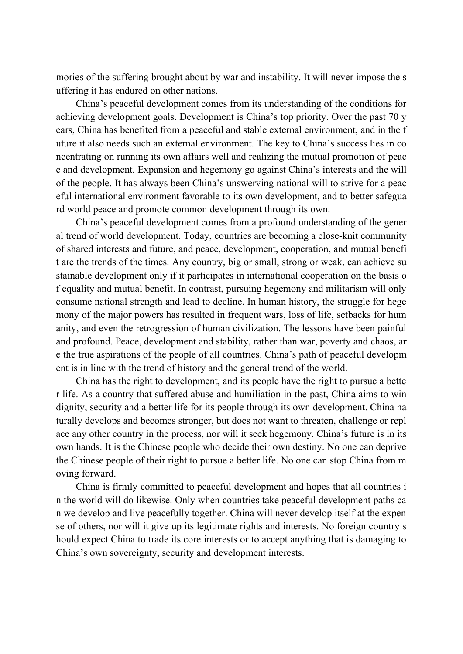mories of the suffering brought about by war and instability. It will never impose the s uffering it has endured on other nations.

China's peaceful development comes from its understanding of the conditions for achieving development goals. Development is China's top priority. Over the past 70 y ears, China has benefited from a peaceful and stable external environment, and in the f uture it also needs such an external environment. The key to China's success lies in co ncentrating on running its own affairs well and realizing the mutual promotion of peac e and development. Expansion and hegemony go against China's interests and the will of the people. It has always been China's unswerving national will to strive for a peac eful international environment favorable to its own development, and to better safegua rd world peace and promote common development through its own.

China's peaceful development comes from a profound understanding of the gener al trend of world development. Today, countries are becoming a close-knit community of shared interests and future, and peace, development, cooperation, and mutual benefi t are the trends of the times. Any country, big or small, strong or weak, can achieve su stainable development only if it participates in international cooperation on the basis o f equality and mutual benefit. In contrast, pursuing hegemony and militarism will only consume national strength and lead to decline. In human history, the struggle for hege mony of the major powers has resulted in frequent wars, loss of life, setbacks for hum anity, and even the retrogression of human civilization. The lessons have been painful and profound. Peace, development and stability, rather than war, poverty and chaos, ar e the true aspirations of the people of all countries. China's path of peaceful developm ent is in line with the trend of history and the general trend of the world.

China has the right to development, and its people have the right to pursue a bette r life. As a country that suffered abuse and humiliation in the past, China aims to win dignity, security and a better life for its people through its own development. China na turally develops and becomes stronger, but does not want to threaten, challenge or repl ace any other country in the process, nor will it seek hegemony. China's future is in its own hands. It is the Chinese people who decide their own destiny. No one can deprive the Chinese people of their right to pursue a better life. No one can stop China from m oving forward.

China is firmly committed to peaceful development and hopes that all countries i n the world will do likewise. Only when countries take peaceful development paths ca n we develop and live peacefully together. China will never develop itself at the expen se of others, nor will it give up its legitimate rights and interests. No foreign country s hould expect China to trade its core interests or to accept anything that is damaging to China's own sovereignty, security and development interests.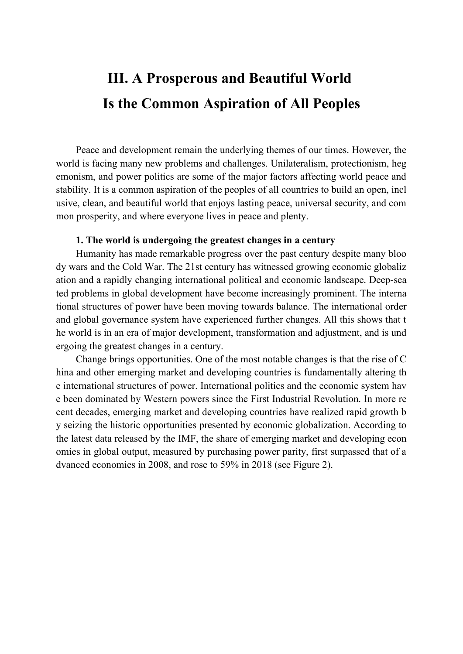## **III. A Prosperous and Beautiful World Is the Common Aspiration of All Peoples**

Peace and development remain the underlying themes of our times. However, the world is facing many new problems and challenges. Unilateralism, protectionism, heg emonism, and power politics are some of the major factors affecting world peace and stability. It is a common aspiration of the peoples of all countries to build an open, incl usive, clean, and beautiful world that enjoys lasting peace, universal security, and com mon prosperity, and where everyone lives in peace and plenty.

## **1. The world is undergoing the greatest changes in a century**

Humanity has made remarkable progress over the past century despite many bloo dy wars and the Cold War. The 21st century has witnessed growing economic globaliz ation and a rapidly changing international political and economic landscape. Deep-sea ted problems in global development have become increasingly prominent. The interna tional structures of power have been moving towards balance. The international order and global governance system have experienced further changes. All this shows that t he world is in an era of major development, transformation and adjustment, and is und ergoing the greatest changes in a century.

Change brings opportunities. One of the most notable changes is that the rise of C hina and other emerging market and developing countries is fundamentally altering th e international structures of power. International politics and the economic system hav e been dominated by Western powers since the First Industrial Revolution. In more re cent decades, emerging market and developing countries have realized rapid growth b y seizing the historic opportunities presented by economic globalization. According to the latest data released by the IMF, the share of emerging market and developing econ omies in global output, measured by purchasing power parity, first surpassed that of a dvanced economies in 2008, and rose to 59% in 2018 (see Figure 2).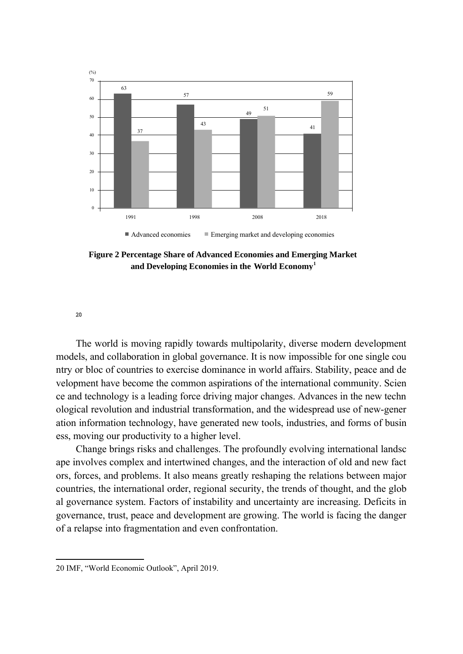

**Figure 2 Percentage Share of Advanced Economies and Emerging Market and Developing Economies in the World Economy<sup>1</sup>**

[20](#page-28-0)

The world is moving rapidly towards multipolarity, diverse modern development models, and collaboration in global governance. It is now impossible for one single cou ntry or bloc of countries to exercise dominance in world affairs. Stability, peace and de velopment have become the common aspirations of the international community. Scien ce and technology is a leading force driving major changes. Advances in the new techn ological revolution and industrial transformation, and the widespread use of new-gener ation information technology, have generated new tools, industries, and forms of busin ess, moving our productivity to a higher level.

Change brings risks and challenges. The profoundly evolving international landsc ape involves complex and intertwined changes, and the interaction of old and new fact ors, forces, and problems. It also means greatly reshaping the relations between major countries, the international order, regional security, the trends of thought, and the glob al governance system. Factors of instability and uncertainty are increasing. Deficits in governance, trust, peace and development are growing. The world is facing the danger of a relapse into fragmentation and even confrontation.

<span id="page-28-0"></span><sup>20</sup> IMF, "World Economic Outlook", April 2019.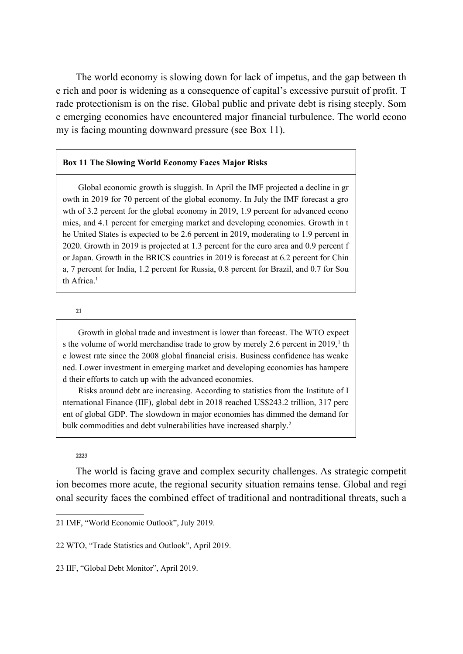The world economy is slowing down for lack of impetus, and the gap between th e rich and poor is widening as a consequence of capital's excessive pursuit of profit. T rade protectionism is on the rise. Global public and private debt is rising steeply. Som e emerging economies have encountered major financial turbulence. The world econo my is facing mounting downward pressure (see Box 11).

## **Box 11 The Slowing World Economy Faces Major Risks**

Global economic growth is sluggish. In April the IMF projected a decline in gr owth in 2019 for 70 percent of the global economy. In July the IMF forecast a gro wth of 3.2 percent for the global economy in 2019, 1.9 percent for advanced econo mies, and 4.1 percent for emerging market and developing economies. Growth in t he United States is expected to be 2.6 percent in 2019, moderating to 1.9 percent in 2020. Growth in 2019 is projected at 1.3 percent for the euro area and 0.9 percent f or Japan. Growth in the BRICS countries in 2019 is forecast at 6.2 percent for Chin a, 7 percent for India, 1.2 percent for Russia, 0.8 percent for Brazil, and 0.7 for Sou th Africa.<sup>1</sup>

### [21](#page-29-0)

Growth in global trade and investment is lower than forecast. The WTO expect s the volume of world merchandise trade to grow by merely 2.6 percent in  $2019$ ,<sup>1</sup> th e lowest rate since the 2008 global financial crisis. Business confidence has weake ned. Lower investment in emerging market and developing economies has hampere d their efforts to catch up with the advanced economies.

Risks around debt are increasing. According to statistics from the Institute of I nternational Finance (IIF), global debt in 2018 reached US\$243.2 trillion, 317 perc ent of global GDP. The slowdown in major economies has dimmed the demand for bulk commodities and debt vulnerabilities have increased sharply.<sup>2</sup>

#### [22](#page-29-1)[23](#page-29-2)

The world is facing grave and complex security challenges. As strategic competit ion becomes more acute, the regional security situation remains tense. Global and regi onal security faces the combined effect of traditional and nontraditional threats, such a

<span id="page-29-0"></span><sup>21</sup> IMF, "World Economic Outlook", July 2019.

<span id="page-29-1"></span><sup>22</sup> WTO, "Trade Statistics and Outlook", April 2019.

<span id="page-29-2"></span><sup>23</sup> IIF, "Global Debt Monitor", April 2019.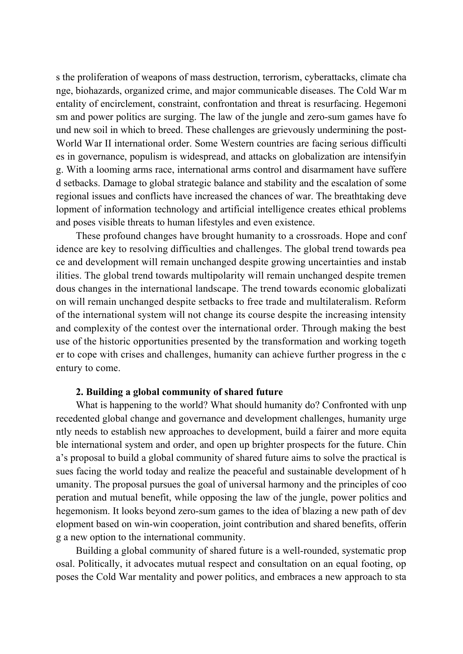s the proliferation of weapons of mass destruction, terrorism, cyberattacks, climate cha nge, biohazards, organized crime, and major communicable diseases. The Cold War m entality of encirclement, constraint, confrontation and threat is resurfacing. Hegemoni sm and power politics are surging. The law of the jungle and zero-sum games have fo und new soil in which to breed. These challenges are grievously undermining the post-World War II international order. Some Western countries are facing serious difficulti es in governance, populism is widespread, and attacks on globalization are intensifyin g. With a looming arms race, international arms control and disarmament have suffere d setbacks. Damage to global strategic balance and stability and the escalation of some regional issues and conflicts have increased the chances of war. The breathtaking deve lopment of information technology and artificial intelligence creates ethical problems and poses visible threats to human lifestyles and even existence.

These profound changes have brought humanity to a crossroads. Hope and conf idence are key to resolving difficulties and challenges. The global trend towards pea ce and development will remain unchanged despite growing uncertainties and instab ilities. The global trend towards multipolarity will remain unchanged despite tremen dous changes in the international landscape. The trend towards economic globalizati on will remain unchanged despite setbacks to free trade and multilateralism. Reform of the international system will not change its course despite the increasing intensity and complexity of the contest over the international order. Through making the best use of the historic opportunities presented by the transformation and working togeth er to cope with crises and challenges, humanity can achieve further progress in the c entury to come.

## **2. Building a global community of shared future**

What is happening to the world? What should humanity do? Confronted with unp recedented global change and governance and development challenges, humanity urge ntly needs to establish new approaches to development, build a fairer and more equita ble international system and order, and open up brighter prospects for the future. Chin a's proposal to build a global community of shared future aims to solve the practical is sues facing the world today and realize the peaceful and sustainable development of h umanity. The proposal pursues the goal of universal harmony and the principles of coo peration and mutual benefit, while opposing the law of the jungle, power politics and hegemonism. It looks beyond zero-sum games to the idea of blazing a new path of dev elopment based on win-win cooperation, joint contribution and shared benefits, offerin g a new option to the international community.

Building a global community of shared future is a well-rounded, systematic prop osal. Politically, it advocates mutual respect and consultation on an equal footing, op poses the Cold War mentality and power politics, and embraces a new approach to sta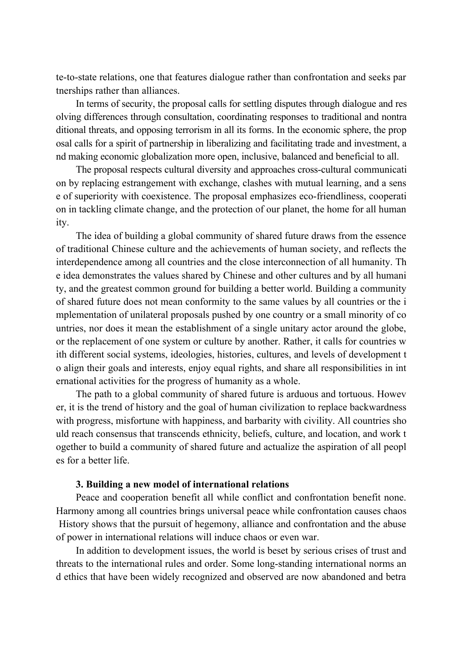te-to-state relations, one that features dialogue rather than confrontation and seeks par tnerships rather than alliances.

In terms of security, the proposal calls for settling disputes through dialogue and res olving differences through consultation, coordinating responses to traditional and nontra ditional threats, and opposing terrorism in all its forms. In the economic sphere, the prop osal calls for a spirit of partnership in liberalizing and facilitating trade and investment, a nd making economic globalization more open, inclusive, balanced and beneficial to all.

The proposal respects cultural diversity and approaches cross-cultural communicati on by replacing estrangement with exchange, clashes with mutual learning, and a sens e of superiority with coexistence. The proposal emphasizes eco-friendliness, cooperati on in tackling climate change, and the protection of our planet, the home for all human ity.

The idea of building a global community of shared future draws from the essence of traditional Chinese culture and the achievements of human society, and reflects the interdependence among all countries and the close interconnection of all humanity. Th e idea demonstrates the values shared by Chinese and other cultures and by all humani ty, and the greatest common ground for building a better world. Building a community of shared future does not mean conformity to the same values by all countries or the i mplementation of unilateral proposals pushed by one country or a small minority of co untries, nor does it mean the establishment of a single unitary actor around the globe, or the replacement of one system or culture by another. Rather, it calls for countries w ith different social systems, ideologies, histories, cultures, and levels of development t o align their goals and interests, enjoy equal rights, and share all responsibilities in int ernational activities for the progress of humanity as a whole.

The path to a global community of shared future is arduous and tortuous. Howev er, it is the trend of history and the goal of human civilization to replace backwardness with progress, misfortune with happiness, and barbarity with civility. All countries sho uld reach consensus that transcends ethnicity, beliefs, culture, and location, and work t ogether to build a community of shared future and actualize the aspiration of all peopl es for a better life.

## **3. Building a new model of international relations**

Peace and cooperation benefit all while conflict and confrontation benefit none. Harmony among all countries brings universal peace while confrontation causes chaos History shows that the pursuit of hegemony, alliance and confrontation and the abuse of power in international relations will induce chaos or even war.

In addition to development issues, the world is beset by serious crises of trust and threats to the international rules and order. Some long-standing international norms an d ethics that have been widely recognized and observed are now abandoned and betra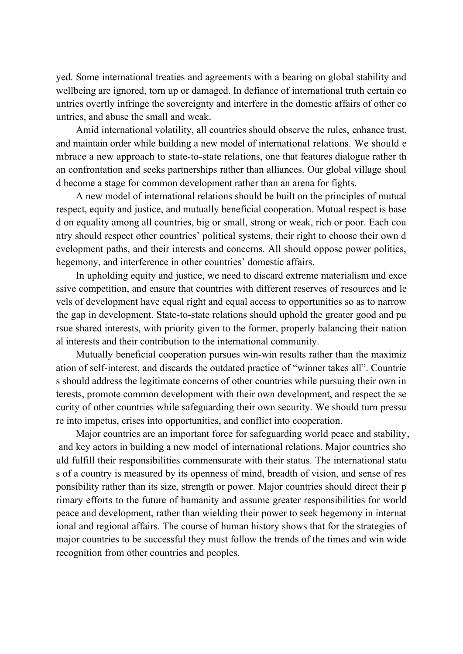yed. Some international treaties and agreements with a bearing on global stability and wellbeing are ignored, torn up or damaged. In defiance of international truth certain co untries overtly infringe the sovereignty and interfere in the domestic affairs of other co untries, and abuse the small and weak.

Amid international volatility, all countries should observe the rules, enhance trust, and maintain order while building a new model of international relations. We should e mbrace a new approach to state-to-state relations, one that features dialogue rather th an confrontation and seeks partnerships rather than alliances. Our global village shoul d become a stage for common development rather than an arena for fights.

A new model of international relations should be built on the principles of mutual respect, equity and justice, and mutually beneficial cooperation. Mutual respect is base d on equality among all countries, big or small, strong or weak, rich or poor. Each cou ntry should respect other countries' political systems, their right to choose their own d evelopment paths, and their interests and concerns. All should oppose power politics, hegemony, and interference in other countries' domestic affairs.

In upholding equity and justice, we need to discard extreme materialism and exce ssive competition, and ensure that countries with different reserves of resources and le vels of development have equal right and equal access to opportunities so as to narrow the gap in development. State-to-state relations should uphold the greater good and pu rsue shared interests, with priority given to the former, properly balancing their nation al interests and their contribution to the international community.

Mutually beneficial cooperation pursues win-win results rather than the maximiz ation of self-interest, and discards the outdated practice of "winner takes all". Countrie s should address the legitimate concerns of other countries while pursuing their own in terests, promote common development with their own development, and respect the se curity of other countries while safeguarding their own security. We should turn pressu re into impetus, crises into opportunities, and conflict into cooperation.

Major countries are an important force for safeguarding world peace and stability, and key actors in building a new model of international relations. Major countries sho uld fulfill their responsibilities commensurate with their status. The international statu s of a country is measured by its openness of mind, breadth of vision, and sense of res ponsibility rather than its size, strength or power. Major countries should direct their p rimary efforts to the future of humanity and assume greater responsibilities for world peace and development, rather than wielding their power to seek hegemony in internat ional and regional affairs. The course of human history shows that for the strategies of major countries to be successful they must follow the trends of the times and win wide recognition from other countries and peoples.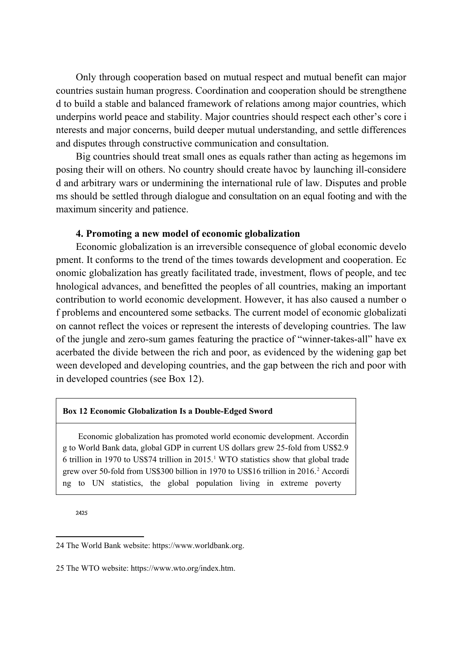Only through cooperation based on mutual respect and mutual benefit can major countries sustain human progress. Coordination and cooperation should be strengthene d to build a stable and balanced framework of relations among major countries, which underpins world peace and stability. Major countries should respect each other's core i nterests and major concerns, build deeper mutual understanding, and settle differences and disputes through constructive communication and consultation.

Big countries should treat small ones as equals rather than acting as hegemons im posing their will on others. No country should create havoc by launching ill-considere d and arbitrary wars or undermining the international rule of law. Disputes and proble ms should be settled through dialogue and consultation on an equal footing and with the maximum sincerity and patience.

## **4. Promoting a new model of economic globalization**

Economic globalization is an irreversible consequence of global economic develo pment. It conforms to the trend of the times towards development and cooperation. Ec onomic globalization has greatly facilitated trade, investment, flows of people, and tec hnological advances, and benefitted the peoples of all countries, making an important contribution to world economic development. However, it has also caused a number o f problems and encountered some setbacks. The current model of economic globalizati on cannot reflect the voices or represent the interests of developing countries. The law of the jungle and zero-sum games featuring the practice of "winner-takes-all" have ex acerbated the divide between the rich and poor, as evidenced by the widening gap bet ween developed and developing countries, and the gap between the rich and poor with in developed countries (see Box 12).

### **Box 12 Economic Globalization Is a Double-Edged Sword**

Economic globalization has promoted world economic development. Accordin g to World Bank data, global GDP in current US dollars grew 25-fold from US\$2.9 6 trillion in 1970 to US\$74 trillion in 2015.<sup>1</sup> WTO statistics show that global trade grew over 50-fold from US\$300 billion in 1970 to US\$16 trillion in 2016.<sup>2</sup> Accordi ng to UN statistics, the global population living in extreme poverty

[24](#page-33-0)[25](#page-33-1)

<span id="page-33-0"></span><sup>24</sup> The World Bank website: https://www.worldbank.org.

<span id="page-33-1"></span><sup>25</sup> The WTO website: https://www.wto.org/index.htm.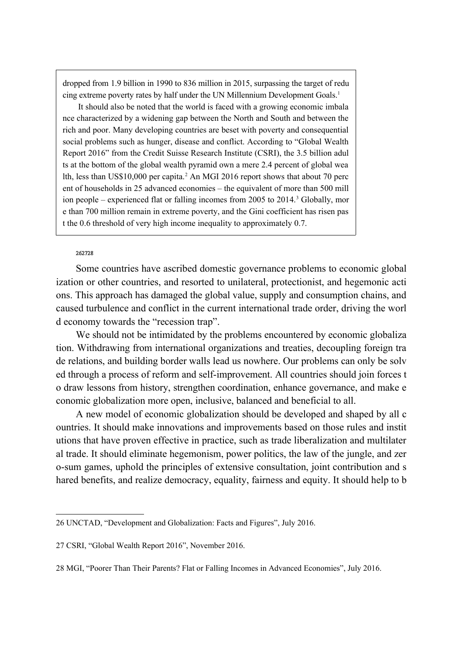dropped from 1.9 billion in 1990 to 836 million in 2015, surpassing the target of redu cing extreme poverty rates by half under the UN Millennium Development Goals.<sup>1</sup>

It should also be noted that the world is faced with a growing economic imbala nce characterized by a widening gap between the North and South and between the rich and poor. Many developing countries are beset with poverty and consequential social problems such as hunger, disease and conflict. According to "Global Wealth Report 2016" from the Credit Suisse Research Institute (CSRI), the 3.5 billion adul ts at the bottom of the global wealth pyramid own a mere 2.4 percent of global wea lth, less than US\$10,000 per capita.<sup>2</sup> An MGI 2016 report shows that about 70 perc ent of households in 25 advanced economies – the equivalent of more than 500 mill ion people – experienced flat or falling incomes from 2005 to 2014.<sup>3</sup> Globally, mor e than 700 million remain in extreme poverty, and the Gini coefficient has risen pas t the 0.6 threshold of very high income inequality to approximately 0.7.

#### [26](#page-34-0)[27](#page-34-1)[28](#page-34-2)

Some countries have ascribed domestic governance problems to economic global ization or other countries, and resorted to unilateral, protectionist, and hegemonic acti ons. This approach has damaged the global value, supply and consumption chains, and caused turbulence and conflict in the current international trade order, driving the worl d economy towards the "recession trap".

We should not be intimidated by the problems encountered by economic globaliza tion. Withdrawing from international organizations and treaties, decoupling foreign tra de relations, and building border walls lead us nowhere. Our problems can only be solv ed through a process of reform and self-improvement. All countries should join forces t o draw lessons from history, strengthen coordination, enhance governance, and make e conomic globalization more open, inclusive, balanced and beneficial to all.

A new model of economic globalization should be developed and shaped by all c ountries. It should make innovations and improvements based on those rules and instit utions that have proven effective in practice, such as trade liberalization and multilater al trade. It should eliminate hegemonism, power politics, the law of the jungle, and zer o-sum games, uphold the principles of extensive consultation, joint contribution and s hared benefits, and realize democracy, equality, fairness and equity. It should help to b

<span id="page-34-0"></span><sup>26</sup> UNCTAD, "Development and Globalization: Facts and Figures", July 2016.

<span id="page-34-1"></span><sup>27</sup> CSRI, "Global Wealth Report 2016", November 2016.

<span id="page-34-2"></span><sup>28</sup> MGI, "Poorer Than Their Parents? Flat or Falling Incomes in Advanced Economies", July 2016.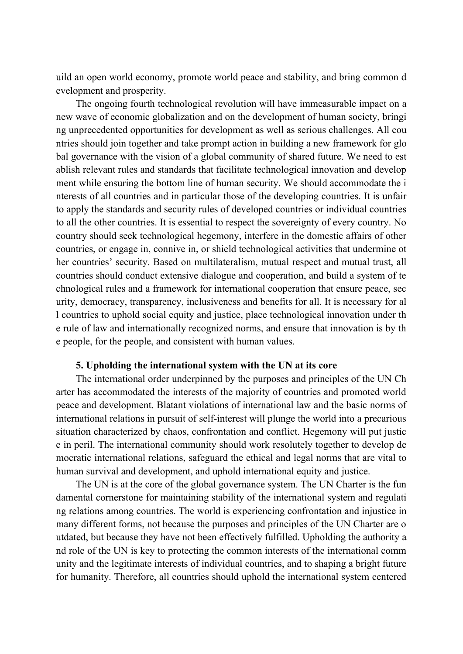uild an open world economy, promote world peace and stability, and bring common d evelopment and prosperity.

The ongoing fourth technological revolution will have immeasurable impact on a new wave of economic globalization and on the development of human society, bringi ng unprecedented opportunities for development as well as serious challenges. All cou ntries should join together and take prompt action in building a new framework for glo bal governance with the vision of a global community of shared future. We need to est ablish relevant rules and standards that facilitate technological innovation and develop ment while ensuring the bottom line of human security. We should accommodate the i nterests of all countries and in particular those of the developing countries. It is unfair to apply the standards and security rules of developed countries or individual countries to all the other countries. It is essential to respect the sovereignty of every country. No country should seek technological hegemony, interfere in the domestic affairs of other countries, or engage in, connive in, or shield technological activities that undermine ot her countries' security. Based on multilateralism, mutual respect and mutual trust, all countries should conduct extensive dialogue and cooperation, and build a system of te chnological rules and a framework for international cooperation that ensure peace, sec urity, democracy, transparency, inclusiveness and benefits for all. It is necessary for al l countries to uphold social equity and justice, place technological innovation under th e rule of law and internationally recognized norms, and ensure that innovation is by th e people, for the people, and consistent with human values.

## **5. Upholding the international system with the UN at its core**

The international order underpinned by the purposes and principles of the UN Ch arter has accommodated the interests of the majority of countries and promoted world peace and development. Blatant violations of international law and the basic norms of international relations in pursuit of self-interest will plunge the world into a precarious situation characterized by chaos, confrontation and conflict. Hegemony will put justic e in peril. The international community should work resolutely together to develop de mocratic international relations, safeguard the ethical and legal norms that are vital to human survival and development, and uphold international equity and justice.

The UN is at the core of the global governance system. The UN Charter is the fun damental cornerstone for maintaining stability of the international system and regulati ng relations among countries. The world is experiencing confrontation and injustice in many different forms, not because the purposes and principles of the UN Charter are o utdated, but because they have not been effectively fulfilled. Upholding the authority a nd role of the UN is key to protecting the common interests of the international comm unity and the legitimate interests of individual countries, and to shaping a bright future for humanity. Therefore, all countries should uphold the international system centered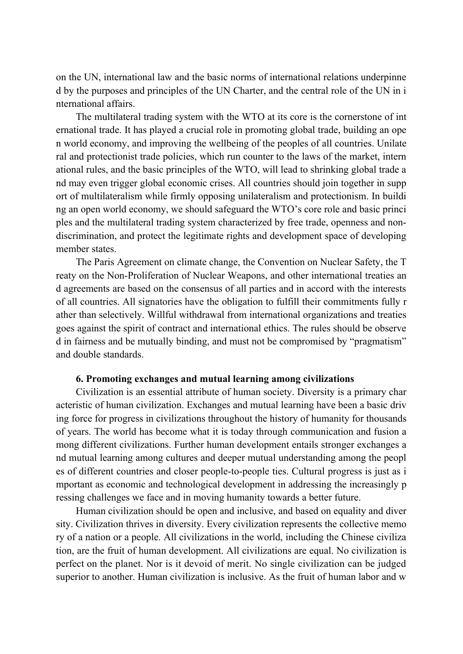on the UN, international law and the basic norms of international relations underpinne d by the purposes and principles of the UN Charter, and the central role of the UN in i nternational affairs.

The multilateral trading system with the WTO at its core is the cornerstone of int ernational trade. It has played a crucial role in promoting global trade, building an ope n world economy, and improving the wellbeing of the peoples of all countries. Unilate ral and protectionist trade policies, which run counter to the laws of the market, intern ational rules, and the basic principles of the WTO, will lead to shrinking global trade a nd may even trigger global economic crises. All countries should join together in supp ort of multilateralism while firmly opposing unilateralism and protectionism. In buildi ng an open world economy, we should safeguard the WTO's core role and basic princi ples and the multilateral trading system characterized by free trade, openness and nondiscrimination, and protect the legitimate rights and development space of developing member states.

The Paris Agreement on climate change, the Convention on Nuclear Safety, the T reaty on the Non-Proliferation of Nuclear Weapons, and other international treaties an d agreements are based on the consensus of all parties and in accord with the interests of all countries. All signatories have the obligation to fulfill their commitments fully r ather than selectively. Willful withdrawal from international organizations and treaties goes against the spirit of contract and international ethics. The rules should be observe d in fairness and be mutually binding, and must not be compromised by "pragmatism" and double standards.

## **6. Promoting exchanges and mutual learning among civilizations**

Civilization is an essential attribute of human society. Diversity is a primary char acteristic of human civilization. Exchanges and mutual learning have been a basic driv ing force for progress in civilizations throughout the history of humanity for thousands of years. The world has become what it is today through communication and fusion a mong different civilizations. Further human development entails stronger exchanges a nd mutual learning among cultures and deeper mutual understanding among the peopl es of different countries and closer people-to-people ties. Cultural progress is just as i mportant as economic and technological development in addressing the increasingly p ressing challenges we face and in moving humanity towards a better future.

Human civilization should be open and inclusive, and based on equality and diver sity. Civilization thrives in diversity. Every civilization represents the collective memo ry of a nation or a people. All civilizations in the world, including the Chinese civiliza tion, are the fruit of human development. All civilizations are equal. No civilization is perfect on the planet. Nor is it devoid of merit. No single civilization can be judged superior to another. Human civilization is inclusive. As the fruit of human labor and w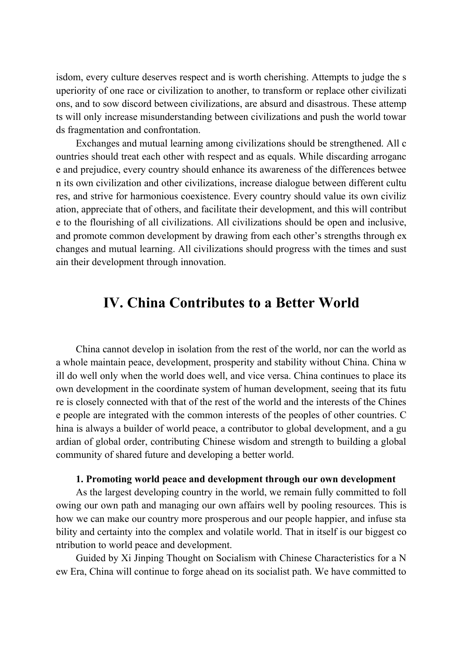isdom, every culture deserves respect and is worth cherishing. Attempts to judge the s uperiority of one race or civilization to another, to transform or replace other civilizati ons, and to sow discord between civilizations, are absurd and disastrous. These attemp ts will only increase misunderstanding between civilizations and push the world towar ds fragmentation and confrontation.

Exchanges and mutual learning among civilizations should be strengthened. All c ountries should treat each other with respect and as equals. While discarding arroganc e and prejudice, every country should enhance its awareness of the differences betwee n its own civilization and other civilizations, increase dialogue between different cultu res, and strive for harmonious coexistence. Every country should value its own civiliz ation, appreciate that of others, and facilitate their development, and this will contribut e to the flourishing of all civilizations. All civilizations should be open and inclusive, and promote common development by drawing from each other's strengths through ex changes and mutual learning. All civilizations should progress with the times and sust ain their development through innovation.

## **IV. China Contributes to a Better World**

China cannot develop in isolation from the rest of the world, nor can the world as a whole maintain peace, development, prosperity and stability without China. China w ill do well only when the world does well, and vice versa. China continues to place its own development in the coordinate system of human development, seeing that its futu re is closely connected with that of the rest of the world and the interests of the Chines e people are integrated with the common interests of the peoples of other countries. C hina is always a builder of world peace, a contributor to global development, and a gu ardian of global order, contributing Chinese wisdom and strength to building a global community of shared future and developing a better world.

## **1. Promoting world peace and development through our own development**

As the largest developing country in the world, we remain fully committed to foll owing our own path and managing our own affairs well by pooling resources. This is how we can make our country more prosperous and our people happier, and infuse sta bility and certainty into the complex and volatile world. That in itself is our biggest co ntribution to world peace and development.

Guided by Xi Jinping Thought on Socialism with Chinese Characteristics for a N ew Era, China will continue to forge ahead on its socialist path. We have committed to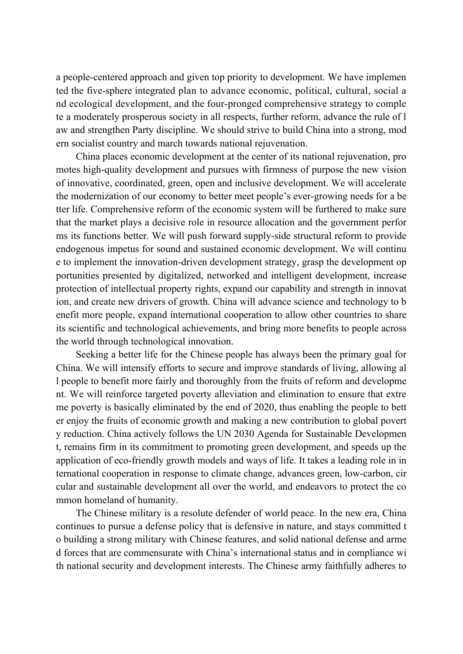a people-centered approach and given top priority to development. We have implemen ted the five-sphere integrated plan to advance economic, political, cultural, social a nd ecological development, and the four-pronged comprehensive strategy to comple te a moderately prosperous society in all respects, further reform, advance the rule of l aw and strengthen Party discipline. We should strive to build China into a strong, mod ern socialist country and march towards national rejuvenation.

China places economic development at the center of its national rejuvenation, pro motes high-quality development and pursues with firmness of purpose the new vision of innovative, coordinated, green, open and inclusive development. We will accelerate the modernization of our economy to better meet people's ever-growing needs for a be tter life. Comprehensive reform of the economic system will be furthered to make sure that the market plays a decisive role in resource allocation and the government perfor ms its functions better. We will push forward supply-side structural reform to provide endogenous impetus for sound and sustained economic development. We will continu e to implement the innovation-driven development strategy, grasp the development op portunities presented by digitalized, networked and intelligent development, increase protection of intellectual property rights, expand our capability and strength in innovat ion, and create new drivers of growth. China will advance science and technology to b enefit more people, expand international cooperation to allow other countries to share its scientific and technological achievements, and bring more benefits to people across the world through technological innovation.

Seeking a better life for the Chinese people has always been the primary goal for China. We will intensify efforts to secure and improve standards of living, allowing al l people to benefit more fairly and thoroughly from the fruits of reform and developme nt. We will reinforce targeted poverty alleviation and elimination to ensure that extre me poverty is basically eliminated by the end of 2020, thus enabling the people to bett er enjoy the fruits of economic growth and making a new contribution to global povert y reduction. China actively follows the UN 2030 Agenda for Sustainable Developmen t, remains firm in its commitment to promoting green development, and speeds up the application of eco-friendly growth models and ways of life. It takes a leading role in in ternational cooperation in response to climate change, advances green, low-carbon, cir cular and sustainable development all over the world, and endeavors to protect the co mmon homeland of humanity.

The Chinese military is a resolute defender of world peace. In the new era, China continues to pursue a defense policy that is defensive in nature, and stays committed t o building a strong military with Chinese features, and solid national defense and arme d forces that are commensurate with China's international status and in compliance wi th national security and development interests. The Chinese army faithfully adheres to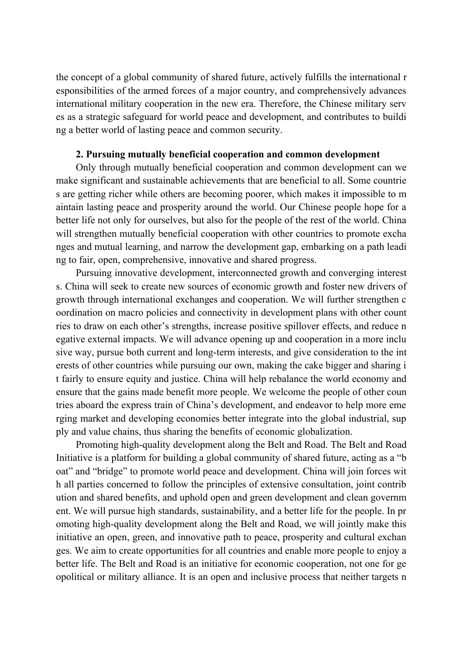the concept of a global community of shared future, actively fulfills the international r esponsibilities of the armed forces of a major country, and comprehensively advances international military cooperation in the new era. Therefore, the Chinese military serv es as a strategic safeguard for world peace and development, and contributes to buildi ng a better world of lasting peace and common security.

## **2. Pursuing mutually beneficial cooperation and common development**

Only through mutually beneficial cooperation and common development can we make significant and sustainable achievements that are beneficial to all. Some countrie s are getting richer while others are becoming poorer, which makes it impossible to m aintain lasting peace and prosperity around the world. Our Chinese people hope for a better life not only for ourselves, but also for the people of the rest of the world. China will strengthen mutually beneficial cooperation with other countries to promote excha nges and mutual learning, and narrow the development gap, embarking on a path leadi ng to fair, open, comprehensive, innovative and shared progress.

Pursuing innovative development, interconnected growth and converging interest s. China will seek to create new sources of economic growth and foster new drivers of growth through international exchanges and cooperation. We will further strengthen c oordination on macro policies and connectivity in development plans with other count ries to draw on each other's strengths, increase positive spillover effects, and reduce n egative external impacts. We will advance opening up and cooperation in a more inclu sive way, pursue both current and long-term interests, and give consideration to the int erests of other countries while pursuing our own, making the cake bigger and sharing i t fairly to ensure equity and justice. China will help rebalance the world economy and ensure that the gains made benefit more people. We welcome the people of other coun tries aboard the express train of China's development, and endeavor to help more eme rging market and developing economies better integrate into the global industrial, sup ply and value chains, thus sharing the benefits of economic globalization.

Promoting high-quality development along the Belt and Road. The Belt and Road Initiative is a platform for building a global community of shared future, acting as a "b oat" and "bridge" to promote world peace and development. China will join forces wit h all parties concerned to follow the principles of extensive consultation, joint contrib ution and shared benefits, and uphold open and green development and clean governm ent. We will pursue high standards, sustainability, and a better life for the people. In pr omoting high-quality development along the Belt and Road, we will jointly make this initiative an open, green, and innovative path to peace, prosperity and cultural exchan ges. We aim to create opportunities for all countries and enable more people to enjoy a better life. The Belt and Road is an initiative for economic cooperation, not one for ge opolitical or military alliance. It is an open and inclusive process that neither targets n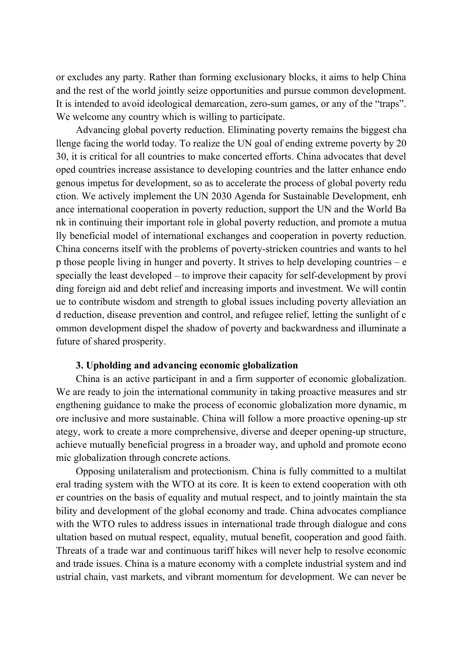or excludes any party. Rather than forming exclusionary blocks, it aims to help China and the rest of the world jointly seize opportunities and pursue common development. It is intended to avoid ideological demarcation, zero-sum games, or any of the "traps". We welcome any country which is willing to participate.

Advancing global poverty reduction. Eliminating poverty remains the biggest cha llenge facing the world today. To realize the UN goal of ending extreme poverty by 20 30, it is critical for all countries to make concerted efforts. China advocates that devel oped countries increase assistance to developing countries and the latter enhance endo genous impetus for development, so as to accelerate the process of global poverty redu ction. We actively implement the UN 2030 Agenda for Sustainable Development, enh ance international cooperation in poverty reduction, support the UN and the World Ba nk in continuing their important role in global poverty reduction, and promote a mutua lly beneficial model of international exchanges and cooperation in poverty reduction. China concerns itself with the problems of poverty-stricken countries and wants to hel p those people living in hunger and poverty. It strives to help developing countries – e specially the least developed – to improve their capacity for self-development by provi ding foreign aid and debt relief and increasing imports and investment. We will contin ue to contribute wisdom and strength to global issues including poverty alleviation an d reduction, disease prevention and control, and refugee relief, letting the sunlight of c ommon development dispel the shadow of poverty and backwardness and illuminate a future of shared prosperity.

## **3. Upholding and advancing economic globalization**

China is an active participant in and a firm supporter of economic globalization. We are ready to join the international community in taking proactive measures and str engthening guidance to make the process of economic globalization more dynamic, m ore inclusive and more sustainable. China will follow a more proactive opening-up str ategy, work to create a more comprehensive, diverse and deeper opening-up structure, achieve mutually beneficial progress in a broader way, and uphold and promote econo mic globalization through concrete actions.

Opposing unilateralism and protectionism. China is fully committed to a multilat eral trading system with the WTO at its core. It is keen to extend cooperation with oth er countries on the basis of equality and mutual respect, and to jointly maintain the sta bility and development of the global economy and trade. China advocates compliance with the WTO rules to address issues in international trade through dialogue and cons ultation based on mutual respect, equality, mutual benefit, cooperation and good faith. Threats of a trade war and continuous tariff hikes will never help to resolve economic and trade issues. China is a mature economy with a complete industrial system and ind ustrial chain, vast markets, and vibrant momentum for development. We can never be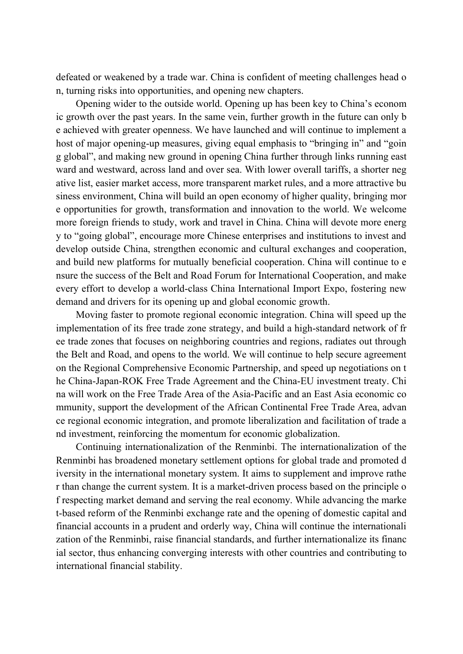defeated or weakened by a trade war. China is confident of meeting challenges head o n, turning risks into opportunities, and opening new chapters.

Opening wider to the outside world. Opening up has been key to China's econom ic growth over the past years. In the same vein, further growth in the future can only b e achieved with greater openness. We have launched and will continue to implement a host of major opening-up measures, giving equal emphasis to "bringing in" and "goin g global", and making new ground in opening China further through links running east ward and westward, across land and over sea. With lower overall tariffs, a shorter neg ative list, easier market access, more transparent market rules, and a more attractive bu siness environment, China will build an open economy of higher quality, bringing mor e opportunities for growth, transformation and innovation to the world. We welcome more foreign friends to study, work and travel in China. China will devote more energ y to "going global", encourage more Chinese enterprises and institutions to invest and develop outside China, strengthen economic and cultural exchanges and cooperation, and build new platforms for mutually beneficial cooperation. China will continue to e nsure the success of the Belt and Road Forum for International Cooperation, and make every effort to develop a world-class China International Import Expo, fostering new demand and drivers for its opening up and global economic growth.

Moving faster to promote regional economic integration. China will speed up the implementation of its free trade zone strategy, and build a high-standard network of fr ee trade zones that focuses on neighboring countries and regions, radiates out through the Belt and Road, and opens to the world. We will continue to help secure agreement on the Regional Comprehensive Economic Partnership, and speed up negotiations on t he China-Japan-ROK Free Trade Agreement and the China-EU investment treaty. Chi na will work on the Free Trade Area of the Asia-Pacific and an East Asia economic co mmunity, support the development of the African Continental Free Trade Area, advan ce regional economic integration, and promote liberalization and facilitation of trade a nd investment, reinforcing the momentum for economic globalization.

Continuing internationalization of the Renminbi. The internationalization of the Renminbi has broadened monetary settlement options for global trade and promoted d iversity in the international monetary system. It aims to supplement and improve rathe r than change the current system. It is a market-driven process based on the principle o f respecting market demand and serving the real economy. While advancing the marke t-based reform of the Renminbi exchange rate and the opening of domestic capital and financial accounts in a prudent and orderly way, China will continue the internationali zation of the Renminbi, raise financial standards, and further internationalize its financ ial sector, thus enhancing converging interests with other countries and contributing to international financial stability.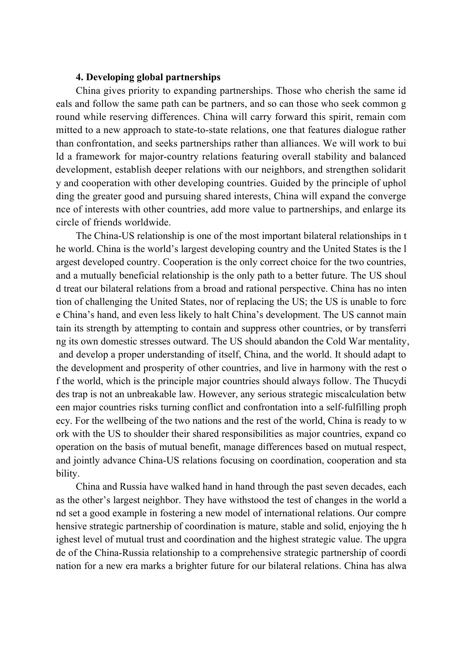## **4. Developing global partnerships**

China gives priority to expanding partnerships. Those who cherish the same id eals and follow the same path can be partners, and so can those who seek common g round while reserving differences. China will carry forward this spirit, remain com mitted to a new approach to state-to-state relations, one that features dialogue rather than confrontation, and seeks partnerships rather than alliances. We will work to bui ld a framework for major-country relations featuring overall stability and balanced development, establish deeper relations with our neighbors, and strengthen solidarit y and cooperation with other developing countries. Guided by the principle of uphol ding the greater good and pursuing shared interests, China will expand the converge nce of interests with other countries, add more value to partnerships, and enlarge its circle of friends worldwide.

The China-US relationship is one of the most important bilateral relationships in t he world. China is the world's largest developing country and the United States is the l argest developed country. Cooperation is the only correct choice for the two countries, and a mutually beneficial relationship is the only path to a better future. The US shoul d treat our bilateral relations from a broad and rational perspective. China has no inten tion of challenging the United States, nor of replacing the US; the US is unable to forc e China's hand, and even less likely to halt China's development. The US cannot main tain its strength by attempting to contain and suppress other countries, or by transferri ng its own domestic stresses outward. The US should abandon the Cold War mentality, and develop a proper understanding of itself, China, and the world. It should adapt to the development and prosperity of other countries, and live in harmony with the rest o f the world, which is the principle major countries should always follow. The Thucydi des trap is not an unbreakable law. However, any serious strategic miscalculation betw een major countries risks turning conflict and confrontation into a self-fulfilling proph ecy. For the wellbeing of the two nations and the rest of the world, China is ready to w ork with the US to shoulder their shared responsibilities as major countries, expand co operation on the basis of mutual benefit, manage differences based on mutual respect, and jointly advance China-US relations focusing on coordination, cooperation and sta bility.

China and Russia have walked hand in hand through the past seven decades, each as the other's largest neighbor. They have withstood the test of changes in the world a nd set a good example in fostering a new model of international relations. Our compre hensive strategic partnership of coordination is mature, stable and solid, enjoying the h ighest level of mutual trust and coordination and the highest strategic value. The upgra de of the China-Russia relationship to a comprehensive strategic partnership of coordi nation for a new era marks a brighter future for our bilateral relations. China has alwa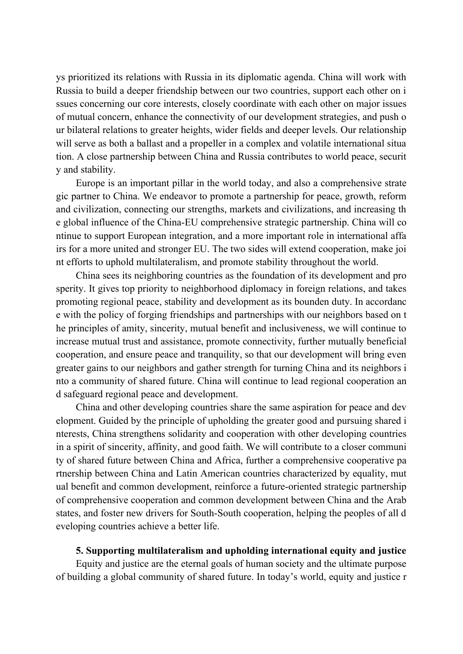ys prioritized its relations with Russia in its diplomatic agenda. China will work with Russia to build a deeper friendship between our two countries, support each other on i ssues concerning our core interests, closely coordinate with each other on major issues of mutual concern, enhance the connectivity of our development strategies, and push o ur bilateral relations to greater heights, wider fields and deeper levels. Our relationship will serve as both a ballast and a propeller in a complex and volatile international situa tion. A close partnership between China and Russia contributes to world peace, securit y and stability.

Europe is an important pillar in the world today, and also a comprehensive strate gic partner to China. We endeavor to promote a partnership for peace, growth, reform and civilization, connecting our strengths, markets and civilizations, and increasing th e global influence of the China-EU comprehensive strategic partnership. China will co ntinue to support European integration, and a more important role in international affa irs for a more united and stronger EU. The two sides will extend cooperation, make joi nt efforts to uphold multilateralism, and promote stability throughout the world.

China sees its neighboring countries as the foundation of its development and pro sperity. It gives top priority to neighborhood diplomacy in foreign relations, and takes promoting regional peace, stability and development as its bounden duty. In accordanc e with the policy of forging friendships and partnerships with our neighbors based on t he principles of amity, sincerity, mutual benefit and inclusiveness, we will continue to increase mutual trust and assistance, promote connectivity, further mutually beneficial cooperation, and ensure peace and tranquility, so that our development will bring even greater gains to our neighbors and gather strength for turning China and its neighbors i nto a community of shared future. China will continue to lead regional cooperation an d safeguard regional peace and development.

China and other developing countries share the same aspiration for peace and dev elopment. Guided by the principle of upholding the greater good and pursuing shared i nterests, China strengthens solidarity and cooperation with other developing countries in a spirit of sincerity, affinity, and good faith. We will contribute to a closer communi ty of shared future between China and Africa, further a comprehensive cooperative pa rtnership between China and Latin American countries characterized by equality, mut ual benefit and common development, reinforce a future-oriented strategic partnership of comprehensive cooperation and common development between China and the Arab states, and foster new drivers for South-South cooperation, helping the peoples of all d eveloping countries achieve a better life.

## **5. Supporting multilateralism and upholding international equity and justice**

Equity and justice are the eternal goals of human society and the ultimate purpose of building a global community of shared future. In today's world, equity and justice r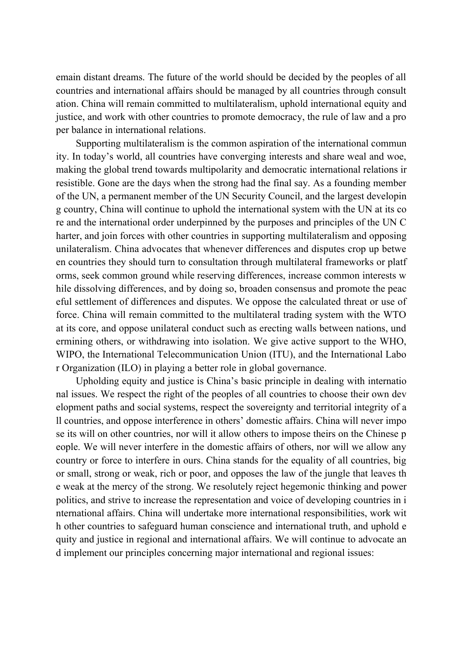emain distant dreams. The future of the world should be decided by the peoples of all countries and international affairs should be managed by all countries through consult ation. China will remain committed to multilateralism, uphold international equity and justice, and work with other countries to promote democracy, the rule of law and a pro per balance in international relations.

Supporting multilateralism is the common aspiration of the international commun ity. In today's world, all countries have converging interests and share weal and woe, making the global trend towards multipolarity and democratic international relations ir resistible. Gone are the days when the strong had the final say. As a founding member of the UN, a permanent member of the UN Security Council, and the largest developin g country, China will continue to uphold the international system with the UN at its co re and the international order underpinned by the purposes and principles of the UN C harter, and join forces with other countries in supporting multilateralism and opposing unilateralism. China advocates that whenever differences and disputes crop up betwe en countries they should turn to consultation through multilateral frameworks or platf orms, seek common ground while reserving differences, increase common interests w hile dissolving differences, and by doing so, broaden consensus and promote the peac eful settlement of differences and disputes. We oppose the calculated threat or use of force. China will remain committed to the multilateral trading system with the WTO at its core, and oppose unilateral conduct such as erecting walls between nations, und ermining others, or withdrawing into isolation. We give active support to the WHO, WIPO, the International Telecommunication Union (ITU), and the International Labo r Organization (ILO) in playing a better role in global governance.

Upholding equity and justice is China's basic principle in dealing with internatio nal issues. We respect the right of the peoples of all countries to choose their own dev elopment paths and social systems, respect the sovereignty and territorial integrity of a ll countries, and oppose interference in others' domestic affairs. China will never impo se its will on other countries, nor will it allow others to impose theirs on the Chinese p eople. We will never interfere in the domestic affairs of others, nor will we allow any country or force to interfere in ours. China stands for the equality of all countries, big or small, strong or weak, rich or poor, and opposes the law of the jungle that leaves th e weak at the mercy of the strong. We resolutely reject hegemonic thinking and power politics, and strive to increase the representation and voice of developing countries in i nternational affairs. China will undertake more international responsibilities, work wit h other countries to safeguard human conscience and international truth, and uphold e quity and justice in regional and international affairs. We will continue to advocate an d implement our principles concerning major international and regional issues: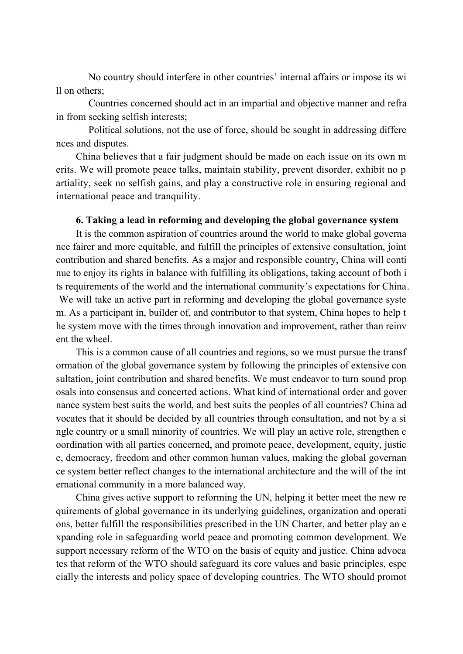No country should interfere in other countries' internal affairs or impose its wi ll on others;

Countries concerned should act in an impartial and objective manner and refra in from seeking selfish interests;

Political solutions, not the use of force, should be sought in addressing differe nces and disputes.

China believes that a fair judgment should be made on each issue on its own m erits. We will promote peace talks, maintain stability, prevent disorder, exhibit no p artiality, seek no selfish gains, and play a constructive role in ensuring regional and international peace and tranquility.

## **6. Taking a lead in reforming and developing the global governance system**

It is the common aspiration of countries around the world to make global governa nce fairer and more equitable, and fulfill the principles of extensive consultation, joint contribution and shared benefits. As a major and responsible country, China will conti nue to enjoy its rights in balance with fulfilling its obligations, taking account of both i ts requirements of the world and the international community's expectations for China. We will take an active part in reforming and developing the global governance syste m. As a participant in, builder of, and contributor to that system, China hopes to help t he system move with the times through innovation and improvement, rather than reinv ent the wheel.

This is a common cause of all countries and regions, so we must pursue the transf ormation of the global governance system by following the principles of extensive con sultation, joint contribution and shared benefits. We must endeavor to turn sound prop osals into consensus and concerted actions. What kind of international order and gover nance system best suits the world, and best suits the peoples of all countries? China ad vocates that it should be decided by all countries through consultation, and not by a si ngle country or a small minority of countries. We will play an active role, strengthen c oordination with all parties concerned, and promote peace, development, equity, justic e, democracy, freedom and other common human values, making the global governan ce system better reflect changes to the international architecture and the will of the int ernational community in a more balanced way.

China gives active support to reforming the UN, helping it better meet the new re quirements of global governance in its underlying guidelines, organization and operati ons, better fulfill the responsibilities prescribed in the UN Charter, and better play an e xpanding role in safeguarding world peace and promoting common development. We support necessary reform of the WTO on the basis of equity and justice. China advoca tes that reform of the WTO should safeguard its core values and basic principles, espe cially the interests and policy space of developing countries. The WTO should promot